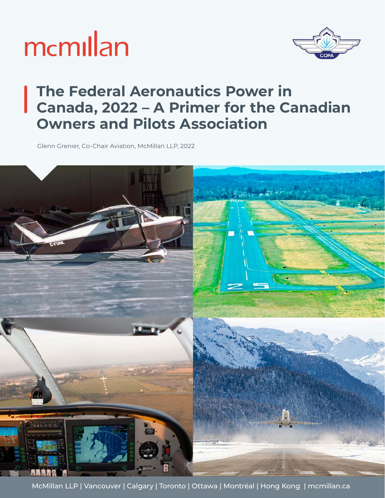



#### **The Federal Aeronautics Power in Canada, 2022 – A Primer for the Canadian Owners and Pilots Association**

Glenn Grenier, Co-Chair Aviation, McMillan LLP, 2022



McMillan LLP | Vancouver | Calgary | Toronto | Ottawa | Montréal | Hong Kong | mcmillan.ca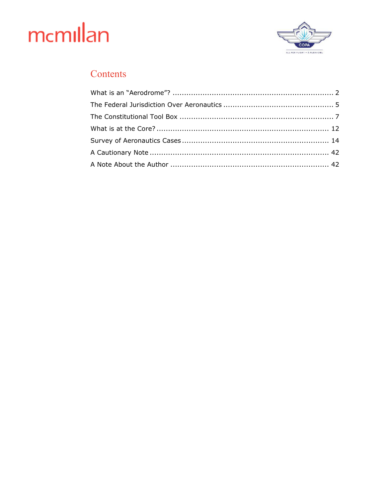

#### Contents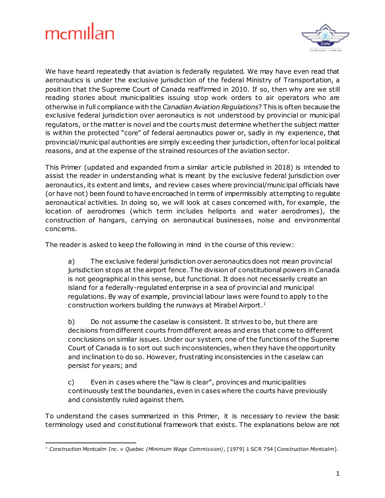

We have heard repeatedly that aviation is federally regulated. We may have even read that aeronautics is under the exclusive jurisdiction of the federal Ministry of Transportation, a position that the Supreme Court of Canada reaffirmed in 2010. If so, then why are we still reading stories about municipalities issuing stop work orders to air operators who are otherwise in full compliance with the *Canadian Aviation Regulations*? This is often because the exclusive federal jurisdiction over aeronautics is not understood by provincial or municipal regulators, or the matter is novel and the courts must determine whether the subject matter is within the protected "core" of federal aeronautics power or, sadly in my experience, that provincial/municipal authorities are simply exceeding their jurisdiction, often for local political reasons, and at the expense of the strained resources of the aviation sector.

This Primer (updated and expanded from a similar article published in 2018) is intended to assist the reader in understanding what is meant by the exclusive federal jurisdiction over aeronautics, its extent and limits, and review cases where provincial/municipal officials have (or have not) been found to have encroached in terms of impermissibly attempting to regulate aeronautical activities. In doing so, we will look at cases concerned with, for example, the location of aerodromes (which term includes heliports and water aerodromes), the construction of hangars, carrying on aeronautical businesses, noise and environmental concerns.

The reader is asked to keep the following in mind in the course of this review:

a) The exclusive federal jurisdiction over aeronautics does not mean provincial jurisdiction stops at the airport fence. The division of constitutional powers in Canada is not geographical in this sense, but functional. It does not necessarily create an island for a federally-regulated enterprise in a sea of provincial and municipal regulations. By way of example, provincial labour laws were found to apply to the construction workers building the runways at Mirabel Airport.<sup>1</sup>

b) Do not assume the caselaw is consistent. It strives to be, but there are decisions from different courts from different areas and eras that come to different conclusions on similar issues. Under our system, one of the functions of the Supreme Court of Canada is to sort out such inconsistencies, when they have the opportunity and inclination to do so. However, frustrating inconsistencies in the caselaw can persist for years; and

c) Even in cases where the "law is clear", provinces and municipalities continuously test the boundaries, even in cases where the courts have previously and consistently ruled against them.

To understand the cases summarized in this Primer, it is necessary to review the basic terminology used and constitutional framework that exists. The explanations below are not

<sup>1</sup> <sup>1</sup> *Construction Montcalm Inc. v Quebec (Minimum Wage Commission)*, [1979] 1 SCR 754 [*Construction Montcalm*].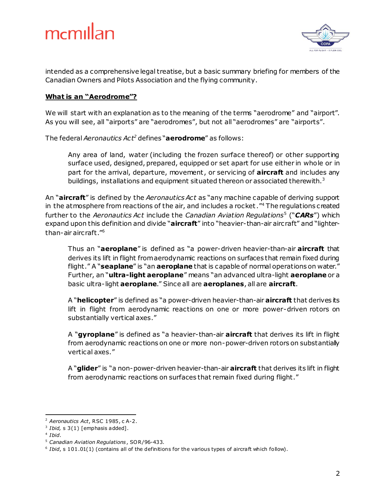

intended as a comprehensive legal treatise, but a basic summary briefing for members of the Canadian Owners and Pilots Association and the flying community.

#### **What is an "Aerodrome"?**

We will start with an explanation as to the meaning of the terms "aerodrome" and "airport". As you will see, all "airports" are "aerodromes", but not all "aerodromes" are "airports".

The federal *Aeronautics Act<sup>2</sup>* defines "**aerodrome**" as follows:

Any area of land, water (including the frozen surface thereof) or other supporting surface used, designed, prepared, equipped or set apart for use either in whole or in part for the arrival, departure, movement, or servicing of **aircraft** and includes any buildings, installations and equipment situated thereon or associated therewith. $3$ 

An "**aircraft**" is defined by the *Aeronautics Act* as "any machine capable of deriving support in the atmosphere from reactions of the air, and includes a rocket."<sup>4</sup> The regulations created further to the *Aeronautics Act* include the *Canadian Aviation Regulations*<sup>5</sup> ("*CARs*") which expand upon this definition and divide "**aircraft**" into "heavier-than-air aircraft" and "lighterthan-air aircraft." 6

Thus an "**aeroplane**" is defined as "a power-driven heavier-than-air **aircraft** that derives its lift in flight from aerodynamic reactions on surfaces that remain fixed during flight." A "**seaplane**" is "an **aeroplane** that is capable of normal operations on water." Further, an "**ultra-light aeroplane**" means "an advanced ultra-light **aeroplane** or a basic ultra-light **aeroplane**." Since all are **aeroplanes**, all are **aircraft**.

A "**helicopter**" is defined as "a power-driven heavier-than-air **aircraft** that derives its lift in flight from aerodynamic reactions on one or more power-driven rotors on substantially vertical axes."

A "**gyroplane**" is defined as "a heavier-than-air **aircraft** that derives its lift in flight from aerodynamic reactions on one or more non-power-driven rotors on substantially vertical axes."

A "**glider**" is "a non-power-driven heavier-than-air **aircraft** that derives its lift in flight from aerodynamic reactions on surfaces that remain fixed during flight."

l,

<sup>2</sup> *Aeronautics Act*, RSC 1985, c A-2.

<sup>3</sup> *Ibid,* s 3(1) [emphasis added].

<sup>4</sup> *Ibid*.

<sup>5</sup> *Canadian Aviation Regulations*, SOR/96-433.

<sup>&</sup>lt;sup>6</sup> Ibid, s 101.01(1) (contains all of the definitions for the various types of aircraft which follow).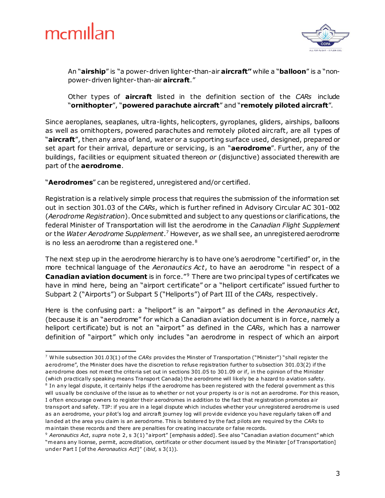

1



An "**airship**" is "a power-driven lighter-than-air **aircraft"** while a "**balloon**" is a "nonpower-driven lighter-than-air **aircraft**."

Other types of **aircraft** listed in the definition section of the *CARs* include "**ornithopter**", "**powered parachute aircraft**" and "**remotely piloted aircraft**".

Since aeroplanes, seaplanes, ultra-lights, helicopters, gyroplanes, gliders, airships, balloons as well as ornithopters, powered parachutes and remotely piloted aircraft, are all types of "**aircraft**", then any area of land, water or a supporting surface used, designed, prepared or set apart for their arrival, departure or servicing, is an "**aerodrome**". Further, any of the buildings, facilities or equipment situated thereon *or* (disjunctive) associated therewith are part of the **aerodrome**.

"**Aerodromes**" can be registered, unregistered and/or certified.

Registration is a relatively simple process that requires the submission of the information set out in section 301.03 of the *CARs*, which is further refined in Advisory Circular AC 301-002 (*Aerodrome Registration*). Once submitted and subject to any questions or clarifications, the federal Minister of Transportation will list the aerodrome in the *Canadian Flight Supplement* or the *Water Aerodrome Supplement*. <sup>7</sup> However, as we shall see, an unregistered aerodrome is no less an aerodrome than a registered one. $8$ 

The next step up in the aerodrome hierarchy is to have one's aerodrome "certified" or, in the more technical language of the *Aeronautics Act*, to have an aerodrome "in respect of a **Canadian aviation document** is in force.<sup>"9</sup> There are two principal types of certificates we have in mind here, being an "airport certificate" or a "heliport certificate" issued further to Subpart 2 ("Airports") or Subpart 5 ("Heliports") of Part III of the *CARs,* respectively.

Here is the confusing part: a "heliport" is an "airport" as defined in the *Aeronautics Act*, (because it is an "aerodrome" for which a Canadian aviation document is in force, namely a heliport certificate) but is not an "airport" as defined in the *CARs*, which has a narrower definition of "airport" which only includes "an aerodrome in respect of which an airport

<sup>7</sup> While subsection 301.03(1) o f the *CARs* provides the Minster of Transportation ("Minister") "shall register the aerodrome", the Minister does have the discretion to re fuse registration further to subsection 301.03(2) if the aerodrome does not meet the criteria set out in sections 301.05 to 301.09 or if, in the opinion of the Minister (which practically speaking means Transport Canada) the aerodrome will likely be a hazard to aviation safety.

<sup>&</sup>lt;sup>8</sup> In any legal dispute, it certainly helps if the aerodrome has been registered with the federal government as this will usually be conclusive of the issue as to whe ther or not your property is or is not an aerodrome. For this reason, I o ften encourage owners to register their aerodromes in addition to the fact that registration promotes air transport and safety. TIP: if you are in a legal dispute which includes whe ther your unregistered aerodrome is used as an aerodrome, your pilot's log and aircraft journey log will provide evidence you have regularly taken off and landed at the area you claim is an aerodrome. This is bolstered by the fact pilots are required by the *CARs* to m aintain these records and there are penalties for creating inaccurate or false records.

<sup>9</sup> *Aeronautics Act*, *supra* note 2, s 3(1) "airport" [emphasis added]. See also "Canadian aviation document" which "means any license, permit, accreditation, certificate or other document issued by the Minister [of Transportation] under Part I [of the *Aeronautics Act*]" (*ibid*, s 3(1)).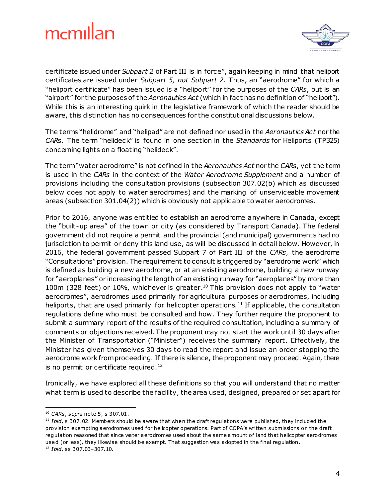

certificate issued under *Subpart 2* of Part III is in force", again keeping in mind that heliport certificates are issued under *Subpart 5, not Subpart 2*. Thus, an "aerodrome" for which a "heliport certificate" has been issued is a "heliport" for the purposes of the *CARs*, but is an "airport" for the purposes of the *Aeronautics Act* (which in fact has no definition of "heliport"). While this is an interesting quirk in the legislative framework of which the reader should be aware, this distinction has no consequences for the constitutional discussions below.

The terms "helidrome" and "helipad" are not defined nor used in the *Aeronautics Act* nor the *CAR*s. The term "helideck" is found in one section in the *Standards* for Heliports (TP325) concerning lights on a floating "helideck".

The term "water aerodrome" is not defined in the *Aeronautics Act* nor the *CARs*, yet the term is used in the *CARs* in the context of the *Water Aerodrome Supplement* and a number of provisions including the consultation provisions (subsection 307.02(b) which as discussed below does not apply to water aerodromes) and the marking of unserviceable movement areas (subsection 301.04(2)) which is obviously not applicable to water aerodromes.

Prior to 2016, anyone was entitled to establish an aerodrome anywhere in Canada, except the "built-up area" of the town or city (as considered by Transport Canada). The federal government did not require a permit and the provincial (and municipal) governments had no jurisdiction to permit or deny this land use, as will be discussed in detail below. However, in 2016, the federal government passed Subpart 7 of Part III of the *CARs*, the aerodrome "Consultations" provision. The requirement to consult is triggered by "aerodrome work" which is defined as building a new aerodrome, or at an existing aerodrome, building a new runway for "aeroplanes" or increasing the length of an existing runway for "aeroplanes" by more than 100m (328 feet) or 10%, whichever is greater.<sup>10</sup> This provision does not apply to "water aerodromes", aerodromes used primarily for agricultural purposes or aerodromes, including heliports, that are used primarily for helicopter operations.<sup>11</sup> If applicable, the consultation regulations define who must be consulted and how. They further require the proponent to submit a summary report of the results of the required consultation, including a summary of comments or objections received. The proponent may not start the work until 30 days after the Minister of Transportation ("Minister") receives the summary report. Effectively, the Minister has given themselves 30 days to read the report and issue an order stopping the aerodrome work from proceeding. If there is silence, the proponent may proceed. Again, there is no permit or certificate required.<sup>12</sup>

Ironically, we have explored all these definitions so that you will understand that no matter what term is used to describe the facility, the area used, designed, prepared or set apart for

l,

<sup>10</sup> *CARs*, *supra* note 5, s 307.01.

<sup>&</sup>lt;sup>11</sup> *Ibid*, s 307.02. Members should be aware that when the draft regulations were published, they included the provision exempting aerodromes used for helicopter operations. Part of COPA's written submissions on the draft regulation reasoned that since water aerodromes used about the same amount of land that helicopter aerodromes used (or less), they likewise should be exempt. That suggestion was adopted in the final regulation. <sup>12</sup> *Ibid*, ss 307.03–307.10.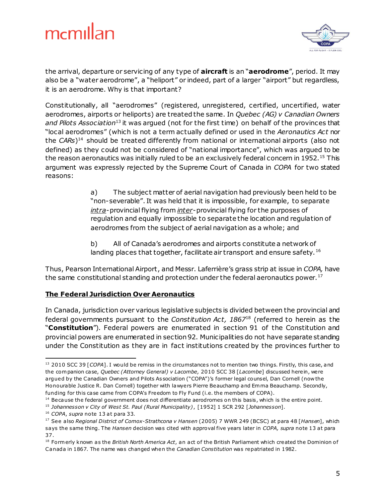

the arrival, departure or servicing of any type of **aircraft** is an "**aerodrome**", period. It may also be a "water aerodrome", a "heliport" or indeed, part of a larger "airport" but regardless, it is an aerodrome. Why is that important?

Constitutionally, all "aerodromes" (registered, unregistered, certified, uncertified, water aerodromes, airports or heliports) are treated the same. In *Quebec (AG) v Canadian Owners and Pilots Association*<sup>13</sup> it was argued (not for the first time) on behalf of the provinces that "local aerodromes" (which is not a term actually defined or used in the *Aeronautics Act* nor the *CARs*) <sup>14</sup> should be treated differently from national or international airports (also not defined) as they could not be considered of "national importance", which was argued to be the reason aeronautics was initially ruled to be an exclusively federal concern in 1952.<sup>15</sup> This argument was expressly rejected by the Supreme Court of Canada in *COPA* for two stated reasons:

> a) The subject matter of aerial navigation had previously been held to be "non-severable". It was held that it is impossible, for example, to separate *intra*-provincial flying from *inter*-provincial flying for the purposes of regulation and equally impossible to separate the location and regulation of aerodromes from the subject of aerial navigation as a whole; and

b) All of Canada's aerodromes and airports constitute a network of landing places that together, facilitate air transport and ensure safety.<sup>16</sup>

Thus, Pearson International Airport, and Messr. Laferrière's grass strip at issue in *COPA,* have the same constitutional standing and protection under the federal aeronautics power.<sup>17</sup>

#### **The Federal Jurisdiction Over Aeronautics**

In Canada, jurisdiction over various legislative subjects is divided between the provincial and federal governments pursuant to the *Constitution Act, 1867*<sup>18</sup> (referred to herein as the "**Constitution**")*.* Federal powers are enumerated in section 91 of the Constitution and provincial powers are enumerated in section 92. Municipalities do not have separate standing under the Constitution as they are in fact institutions created by the provinces further to

<sup>1</sup> <sup>13</sup> 2010 SCC 39 [*COPA*]. I would be remiss in the circumstances not to mention two things. Firstly, this case, and the com panion case, *Quebec (Attorney General) v Lacombe,* 2010 SCC 38 [*Lacombe*] discussed herein, were argued by the Canadian Owners and Pilots Association ("COPA")'s former legal counsel, Dan Cornell (now the Honourable Justice R. Dan Cornell) together with lawyers Pierre Beauchamp and Emma Beauchamp. Secondly, funding for this case came from COPA's Freedom to Fly Fund (i.e. the members of COPA).

<sup>&</sup>lt;sup>14</sup> Because the federal government does not differentiate aerodromes on this basis, which is the entire point.

<sup>15</sup> *Johannesson v City of West St. Paul (Rural Municipality)*, [1952] 1 SCR 292 [*Johannesson*].

<sup>16</sup> *COPA*, *supra* note 13 at para 33.

<sup>&</sup>lt;sup>17</sup> See also *Regional District of Comox-Strathcona v Hansen* (2005) 7 WWR 249 (BCSC) at para 48 [Hansen], which says the same thing. The *Hansen* decision was cited with approval five years later in *COPA, supra* note 13 at para 37.

<sup>&</sup>lt;sup>18</sup> Form erly known as the *British North America Act*, an act of the British Parliament which created the Dominion of Canada in 1867. The name was changed when the *Canadian Constitution* was repatriated in 1982.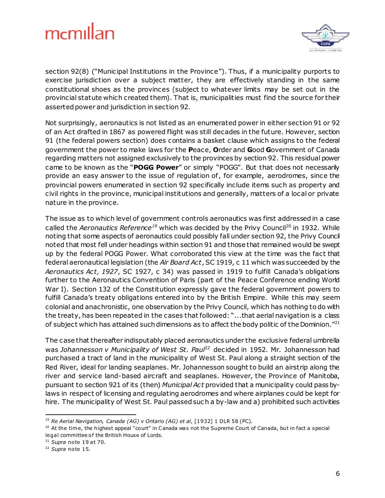

section 92(8) ("Municipal Institutions in the Province"). Thus, if a municipality purports to exercise jurisdiction over a subject matter, they are effectively standing in the same constitutional shoes as the provinces (subject to whatever limits may be set out in the provincial statute which created them). That is, municipalities must find the source for their asserted power and jurisdiction in section 92.

Not surprisingly, aeronautics is not listed as an enumerated power in either section 91 or 92 of an Act drafted in 1867 as powered flight was still decades in the future. However, section 91 (the federal powers section) does contains a basket clause which assigns to the federal government the power to make laws for the **P**eace, **O**rder and **G**ood **G**overnment of Canada regarding matters not assigned exclusively to the provinces by section 92. This residual power came to be known as the "**POGG Power**" or simply "POGG". But that does not necessarily provide an easy answer to the issue of regulation of, for example, aerodromes, since the provincial powers enumerated in section 92 specifically include items such as property and civil rights in the province, municipal institutions and generally, matters of a local or private nature in the province.

The issue as to which level of government controls aeronautics was first addressed in a case called the *Aeronautics Reference<sup>19</sup>* which was decided by the Privy Council<sup>20</sup> in 1932. While noting that some aspects of aeronautics could possibly fall under section 92, the Privy Council noted that most fell under headings within section 91 and those that remained would be swept up by the federal POGG Power. What corroborated this view at the time was the fact that federal aeronautical legislation (the *Air Board Act*, SC 1919, c 11 which was succeeded by the *Aeronautics Act, 1927*, SC 1927, c 34) was passed in 1919 to fulfill Canada's obligations further to the Aeronautics Convention of Paris (part of the Peace Conference ending World War I). Section 132 of the Constitution expressly gave the federal government powers to fulfill Canada's treaty obligations entered into by the British Empire. While this may seem colonial and anachronistic, one observation by the Privy Council, which has nothing to do with the treaty, has been repeated in the cases that followed: "...that aerial navigation is a class of subject which has attained such dimensions as to affect the body politic of the Dominion."<sup>21</sup>

The case that thereafter indisputably placed aeronautics under the exclusive federal umbrella was *Johannesson v Municipality of West St. Paul*<sup>22</sup> decided in 1952. Mr. Johannesson had purchased a tract of land in the municipality of West St. Paul along a straight section of the Red River, ideal for landing seaplanes. Mr. Johannesson sought to build an airstrip along the river and service land-based aircraft and seaplanes. However, the Province of Manitoba, pursuant to section 921 of its (then) *Municipal Act* provided that a municipality could pass bylaws in respect of licensing and regulating aerodromes and where airplanes could be kept for hire. The municipality of West St. Paul passed such a by-law and a) prohibited such activities

l, <sup>19</sup> *Re Aerial Navigation, Canada (AG) v Ontario (AG) et al,* [1932] 1 DLR 58 (PC).

 $20$  At the time, the highest appeal "court" in Canada was not the Supreme Court of Canada, but in fact a special legal committee of the British House of Lords.

<sup>21</sup> *Supra* note 19 at 70.

<sup>22</sup> *Supra* note 15.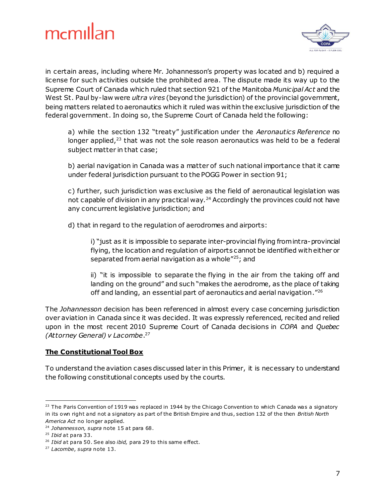



in certain areas, including where Mr. Johannesson's property was located and b) required a license for such activities outside the prohibited area. The dispute made its way up to the Supreme Court of Canada which ruled that section 921 of the Manitoba *Municipal Act* and the West St. Paul by-law were *ultra vires* (beyond the jurisdiction) of the provincial government, being matters related to aeronautics which it ruled was within the exclusive jurisdiction of the federal government. In doing so, the Supreme Court of Canada held the following:

a) while the section 132 "treaty" justification under the *Aeronautics Reference* no longer applied,<sup>23</sup> that was not the sole reason aeronautics was held to be a federal subject matter in that case;

b) aerial navigation in Canada was a matter of such national importance that it came under federal jurisdiction pursuant to the POGG Power in section 91;

c) further, such jurisdiction was exclusive as the field of aeronautical legislation was not capable of division in any practical way. $24$  Accordingly the provinces could not have any concurrent legislative jurisdiction; and

d) that in regard to the regulation of aerodromes and airports:

i) "just as it is impossible to separate inter-provincial flying from intra-provincial flying, the location and regulation of airports cannot be identified with either or separated from aerial navigation as a whole"<sup>25</sup>; and

ii) "it is impossible to separate the flying in the air from the taking off and landing on the ground" and such "makes the aerodrome, as the place of taking off and landing, an essential part of aeronautics and aerial navigation."<sup>26</sup>

The *Johannesson* decision has been referenced in almost every case concerning jurisdiction over aviation in Canada since it was decided. It was expressly referenced, recited and relied upon in the most recent 2010 Supreme Court of Canada decisions in *COPA* and *Quebec (Attorney General) v Lacombe*. 27

#### **The Constitutional Tool Box**

To understand the aviation cases discussed later in this Primer, it is necessary to understand the following constitutional concepts used by the courts.

<sup>1</sup>  $23$  The Paris Convention of 1919 was replaced in 1944 by the Chicago Convention to which Canada was a signatory in its own right and not a signatory as part of the British Em pire and thus, section 132 of the then *British North America Act* no longer applied.

<sup>24</sup> *Johannesson, supra* note 15 at para 68.

<sup>25</sup> *Ibid* at para 33.

<sup>&</sup>lt;sup>26</sup> *Ibid* at para 50. See also *ibid*, para 29 to this same effect.

<sup>27</sup> *Lacombe*, *supra* note 13.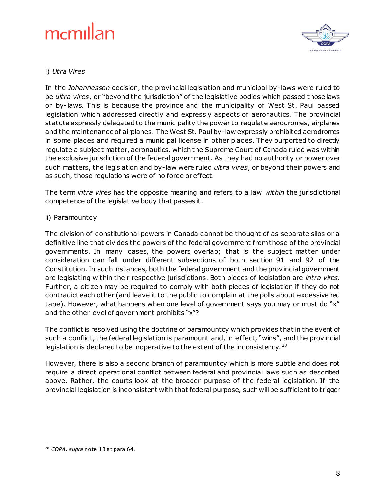

#### i) *Utra Vires*

In the *Johannesson* decision, the provincial legislation and municipal by-laws were ruled to be *ultra vires*, or "beyond the jurisdiction" of the legislative bodies which passed those laws or by-laws. This is because the province and the municipality of West St. Paul passed legislation which addressed directly and expressly aspects of aeronautics. The provincial statute expressly delegated to the municipality the power to regulate aerodromes, airplanes and the maintenance of airplanes. The West St. Paul by-law expressly prohibited aerodromes in some places and required a municipal license in other places. They purported to directly regulate a subject matter, aeronautics, which the Supreme Court of Canada ruled was within the exclusive jurisdiction of the federal government. As they had no authority or power over such matters, the legislation and by-law were ruled *ultra vires*, or beyond their powers and as such, those regulations were of no force or effect.

The term *intra vires* has the opposite meaning and refers to a law *within* the jurisdictional competence of the legislative body that passes it.

#### ii) Paramountcy

The division of constitutional powers in Canada cannot be thought of as separate silos or a definitive line that divides the powers of the federal government from those of the provincial governments. In many cases, the powers overlap; that is the subject matter under consideration can fall under different subsections of both section 91 and 92 of the Constitution. In such instances, both the federal government and the provincial government are legislating within their respective jurisdictions. Both pieces of legislation are *intra vires*. Further, a citizen may be required to comply with both pieces of legislation if they do not contradict each other (and leave it to the public to complain at the polls about excessive red tape). However, what happens when one level of government says you may or must do "x" and the other level of government prohibits "x"?

The conflict is resolved using the doctrine of paramountcy which provides that in the event of such a conflict, the federal legislation is paramount and, in effect, "wins", and the provincial legislation is declared to be inoperative to the extent of the inconsistency.<sup>28</sup>

However, there is also a second branch of paramountcy which is more subtle and does not require a direct operational conflict between federal and provincial laws such as described above. Rather, the courts look at the broader purpose of the federal legislation. If the provincial legislation is inconsistent with that federal purpose, such will be sufficient to trigger

<sup>1</sup> <sup>28</sup> *COPA*, *supra* note 13 at para 64.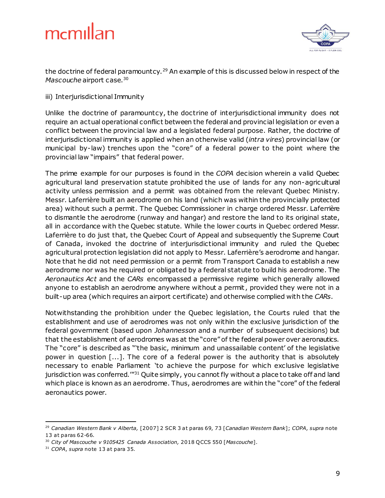

the doctrine of federal paramountcy.<sup>29</sup> An example of this is discussed below in respect of the *Mascouche* airport case.<sup>30</sup>

iii) Interjurisdictional Immunity

Unlike the doctrine of paramountcy, the doctrine of interjurisdictional immunity does not require an actual operational conflict between the federal and provincial legislation or even a conflict between the provincial law and a legislated federal purpose. Rather, the doctrine of interjurisdictional immunity is applied when an otherwise valid (*intra vires*) provincial law (or municipal by-law) trenches upon the "core" of a federal power to the point where the provincial law "impairs" that federal power.

The prime example for our purposes is found in the *COPA* decision wherein a valid Quebec agricultural land preservation statute prohibited the use of lands for any non-agricultural activity unless permission and a permit was obtained from the relevant Quebec Ministry. Messr. Laferrière built an aerodrome on his land (which was within the provincially protected area) without such a permit. The Quebec Commissioner in charge ordered Messr. Laferrière to dismantle the aerodrome (runway and hangar) and restore the land to its original state, all in accordance with the Quebec statute. While the lower courts in Quebec ordered Messr. Laferrière to do just that, the Quebec Court of Appeal and subsequently the Supreme Court of Canada, invoked the doctrine of interjurisdictional immunity and ruled the Quebec agricultural protection legislation did not apply to Messr. Laferrière's aerodrome and hangar. Note that he did not need permission or a permit from Transport Canada to establish a new aerodrome nor was he required or obligated by a federal statute to build his aerodrome. The *Aeronautics Act* and the *CARs* encompassed a permissive regime which generally allowed anyone to establish an aerodrome anywhere without a permit, provided they were not in a built-up area (which requires an airport certificate) and otherwise complied with the *CARs*.

Notwithstanding the prohibition under the Quebec legislation, the Courts ruled that the establishment and use of aerodromes was not only within the exclusive jurisdiction of the federal government (based upon *Johannesson* and a number of subsequent decisions) but that the establishment of aerodromes was at the "core" of the federal power over aeronautics. The "core" is described as "'the basic, minimum and unassailable content' of the legislative power in question [...]. The core of a federal power is the authority that is absolutely necessary to enable Parliament 'to achieve the purpose for which exclusive legislative jurisdiction was conferred.<sup>'"31</sup> Quite simply, you cannot fly without a place to take off and land which place is known as an aerodrome. Thus, aerodromes are within the "core" of the federal aeronautics power.

<sup>29</sup> *Canadian Western Bank v Alberta,* [2007] 2 SCR 3 at paras 69, 73 [*Canadian Western Bank*]; *COPA*, *supra* note 13 at paras 62-66.

<sup>30</sup> *City of Mascouche v 9105425 Canada Association,* 2018 QCCS 550 [*Mascouche*].

<sup>31</sup> *COPA*, *supra* note 13 at para 35.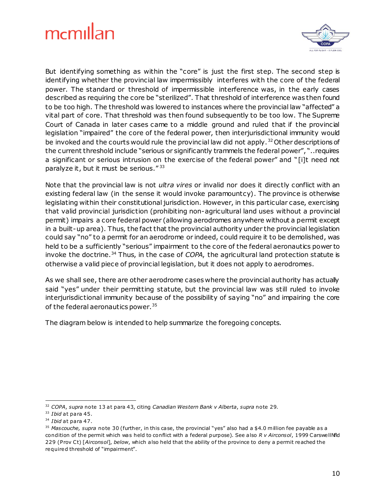

But identifying something as within the "core" is just the first step. The second step is identifying whether the provincial law impermissibly interferes with the core of the federal power. The standard or threshold of impermissible interference was, in the early cases described as requiring the core be "sterilized". That threshold of interference was then found to be too high. The threshold was lowered to instances where the provincial law "affected" a vital part of core. That threshold was then found subsequently to be too low. The Supreme Court of Canada in later cases came to a middle ground and ruled that if the provincial legislation "impaired" the core of the federal power, then interjurisdictional immunity would be invoked and the courts would rule the provincial law did not apply.<sup>32</sup> Other descriptions of the current threshold include "serious or significantly trammels the federal power", "..requires a significant or serious intrusion on the exercise of the federal power" and "[i]t need not paralyze it, but it must be serious."<sup>33</sup>

Note that the provincial law is not *ultra vires* or invalid nor does it directly conflict with an existing federal law (in the sense it would invoke paramountcy). The province is otherwise legislating within their constitutional jurisdiction. However, in this particular case, exercising that valid provincial jurisdiction (prohibiting non-agricultural land uses without a provincial permit) impairs a core federal power (allowing aerodromes anywhere without a permit except in a built-up area). Thus, the fact that the provincial authority under the provincial legislation could say "no" to a permit for an aerodrome or indeed, could require it to be demolished, was held to be a sufficiently "serious" impairment to the core of the federal aeronautics power to invoke the doctrine.<sup>34</sup> Thus, in the case of *COPA*, the agricultural land protection statute is otherwise a valid piece of provincial legislation, but it does not apply to aerodromes.

As we shall see, there are other aerodrome cases where the provincial authority has actually said "yes" under their permitting statute, but the provincial law was still ruled to invoke interjurisdictional immunity because of the possibility of saying "no" and impairing the core of the federal aeronautics power.<sup>35</sup>

The diagram below is intended to help summarize the foregoing concepts.

<sup>32</sup> *COPA*, *supra* note 13 a t para 43, citing *Canadian Western Bank v Alberta*, *supra* note 29.

<sup>&</sup>lt;sup>33</sup> *Ibid* at para 45.

<sup>34</sup> *Ibid* at para 47.

<sup>35</sup> *Mascouche, supra* note 30 (further, in this case, the provincial "yes" also had a \$4.0 million fee payable as a condition of the permit which was held to conflict with a federal purpose). See also *R v Airconsol*, 1999 CarswellNfld 229 (Prov Ct) [Airconsol], below, which also held that the ability of the province to deny a permit reached the required threshold of "impairment".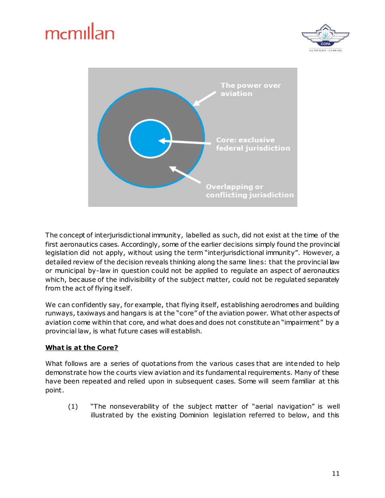



The concept of interjurisdictional immunity, labelled as such, did not exist at the time of the first aeronautics cases. Accordingly, some of the earlier decisions simply found the provincial legislation did not apply, without using the term "interjurisdictional immunity". However, a detailed review of the decision reveals thinking along the same lines: that the provincial law or municipal by-law in question could not be applied to regulate an aspect of aeronautics which, because of the indivisibility of the subject matter, could not be regulated separately from the act of flying itself.

We can confidently say, for example, that flying itself, establishing aerodromes and building runways, taxiways and hangars is at the "core" of the aviation power. What other aspects of aviation come within that core, and what does and does not constitute an "impairment" by a provincial law, is what future cases will establish.

#### **What is at the Core?**

What follows are a series of quotations from the various cases that are intended to help demonstrate how the courts view aviation and its fundamental requirements. Many of these have been repeated and relied upon in subsequent cases. Some will seem familiar at this point.

(1) "The nonseverability of the subject matter of "aerial navigation" is well illustrated by the existing Dominion legislation referred to below, and this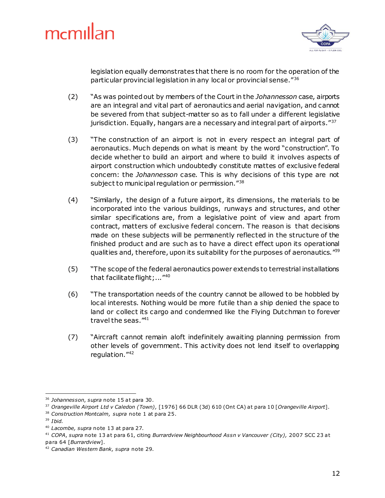

legislation equally demonstrates that there is no room for the operation of the particular provincial legislation in any local or provincial sense."<sup>36</sup>

- (2) "As was pointed out by members of the Court in the *Johannesson* case, airports are an integral and vital part of aeronautics and aerial navigation, and cannot be severed from that subject-matter so as to fall under a different legislative jurisdiction. Equally, hangars are a necessary and integral part of airports."<sup>37</sup>
- (3) "The construction of an airport is not in every respect an integral part of aeronautics. Much depends on what is meant by the word "construction". To decide whether to build an airport and where to build it involves aspects of airport construction which undoubtedly constitute mattes of exclusive federal concern: the *Johannesson* case. This is why decisions of this type are not subject to municipal regulation or permission."38
- (4) "Similarly, the design of a future airport, its dimensions, the materials to be incorporated into the various buildings, runways and structures, and other similar specifications are, from a legislative point of view and apart from contract, matters of exclusive federal concern. The reason is that decisions made on these subjects will be permanently reflected in the structure of the finished product and are such as to have a direct effect upon its operational qualities and, therefore, upon its suitability for the purposes of aeronautics."<sup>39</sup>
- (5) "The scope of the federal aeronautics power extends to terrestrial installations that facilitate flight;..."<sup>40</sup>
- (6) "The transportation needs of the country cannot be allowed to be hobbled by local interests. Nothing would be more futile than a ship denied the space to land or collect its cargo and condemned like the Flying Dutchman to forever travel the seas."<sup>41</sup>
- (7) "Aircraft cannot remain aloft indefinitely awaiting planning permission from other levels of government. This activity does not lend itself to overlapping regulation."<sup>42</sup>

<sup>1</sup> <sup>36</sup> Johannesson, supra note 15 at para 30.

<sup>37</sup> *Orangeville Airport Ltd v Caledon (Town),* [1976] 66 DLR (3d) 610 (Ont CA) at para 10 [*Orangeville Airport*].

<sup>38</sup> *Construction Montcalm, supra* note 1 at para 25.

<sup>39</sup> *Ibid.*

<sup>40</sup> *Lacombe, supra* note 13 at para 27.

<sup>41</sup> *COPA*, *supra* note 13 at para 61, citing *Burrardview Neighbourhood Assn v Vancouver (City),* 2007 SCC 23 at para 64 [*Burrardview*].

<sup>42</sup> *Canadian Western Bank, supra* note 29.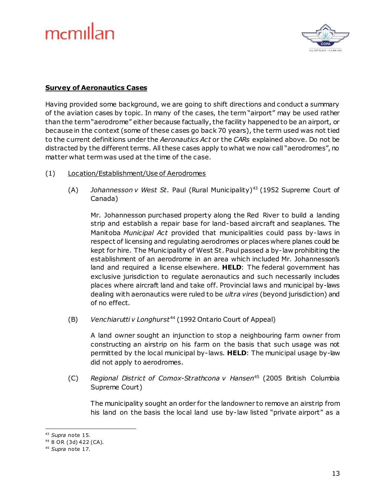

#### **Survey of Aeronautics Cases**

Having provided some background, we are going to shift directions and conduct a summary of the aviation cases by topic. In many of the cases, the term "airport" may be used rather than the term "aerodrome" either because factually, the facility happened to be an airport, or because in the context (some of these cases go back 70 years), the term used was not tied to the current definitions under the *Aeronautics Act* or the *CARs* explained above. Do not be distracted by the different terms. All these cases apply to what we now call "aerodromes", no matter what term was used at the time of the case.

- (1) Location/Establishment/Use of Aerodromes
	- (A) *Johannesson v West St.* Paul (Rural Municipality)<sup>43</sup> (1952 Supreme Court of Canada)

Mr. Johannesson purchased property along the Red River to build a landing strip and establish a repair base for land-based aircraft and seaplanes. The Manitoba *Municipal Act* provided that municipalities could pass by-laws in respect of licensing and regulating aerodromes or places where planes could be kept for hire. The Municipality of West St. Paul passed a by-law prohibiting the establishment of an aerodrome in an area which included Mr. Johannesson's land and required a license elsewhere. **HELD**: The federal government has exclusive jurisdiction to regulate aeronautics and such necessarily includes places where aircraft land and take off. Provincial laws and municipal by-laws dealing with aeronautics were ruled to be *ultra vires* (beyond jurisdiction) and of no effect.

(B) *Venchiarutti v Longhurst*<sup>44</sup> (1992 Ontario Court of Appeal)

A land owner sought an injunction to stop a neighbouring farm owner from constructing an airstrip on his farm on the basis that such usage was not permitted by the local municipal by-laws. **HELD**: The municipal usage by-law did not apply to aerodromes.

(C) *Regional District of Comox-Strathcona v Hansen*<sup>45</sup> (2005 British Columbia Supreme Court)

The municipality sought an order for the landowner to remove an airstrip from his land on the basis the local land use by-law listed "private airport" as a

<sup>1</sup> <sup>43</sup> *Supra* note 15.

<sup>44</sup> 8 OR (3d) 422 (CA).

<sup>45</sup> *Supra* note 17.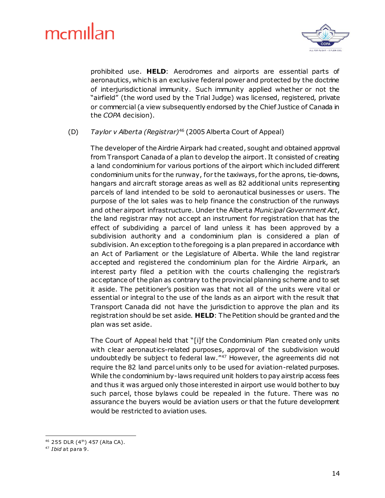

prohibited use. **HELD**: Aerodromes and airports are essential parts of aeronautics, which is an exclusive federal power and protected by the doctrine of interjurisdictional immunity. Such immunity applied whether or not the "airfield" (the word used by the Trial Judge) was licensed, registered, private or commercial (a view subsequently endorsed by the Chief Justice of Canada in the *COPA* decision).

#### (D) *Taylor v Alberta (Registrar)*<sup>46</sup> (2005 Alberta Court of Appeal)

The developer of the Airdrie Airpark had created, sought and obtained approval from Transport Canada of a plan to develop the airport. It consisted of creating a land condominium for various portions of the airport which included different condominium units for the runway, for the taxiways, for the aprons, tie-downs, hangars and aircraft storage areas as well as 82 additional units representing parcels of land intended to be sold to aeronautical businesses or users. The purpose of the lot sales was to help finance the construction of the runways and other airport infrastructure. Under the Alberta *Municipal Government Act*, the land registrar may not accept an instrument for registration that has the effect of subdividing a parcel of land unless it has been approved by a subdivision authority and a condominium plan is considered a plan of subdivision. An exception to the foregoing is a plan prepared in accordance with an Act of Parliament or the Legislature of Alberta. While the land registrar accepted and registered the condominium plan for the Airdrie Airpark, an interest party filed a petition with the courts challenging the registrar's acceptance of the plan as contrary to the provincial planning scheme and to set it aside. The petitioner's position was that not all of the units were vital or essential or integral to the use of the lands as an airport with the result that Transport Canada did not have the jurisdiction to approve the plan and its registration should be set aside. **HELD**: The Petition should be granted and the plan was set aside.

The Court of Appeal held that "[i]f the Condominium Plan created only units with clear aeronautics-related purposes, approval of the subdivision would undoubtedly be subject to federal law."<sup>47</sup> However, the agreements did not require the 82 land parcel units only to be used for aviation-related purposes. While the condominium by-laws required unit holders to pay airstrip access fees and thus it was argued only those interested in airport use would bother to buy such parcel, those bylaws could be repealed in the future. There was no assurance the buyers would be aviation users or that the future development would be restricted to aviation uses.

 $46$  255 DLR  $(4<sup>th</sup>)$  457 (Alta CA).

<sup>47</sup> *Ibid* at para 9.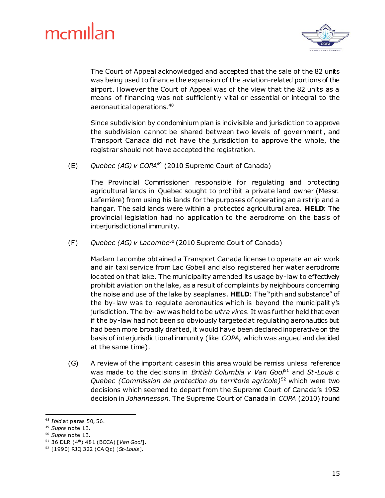

The Court of Appeal acknowledged and accepted that the sale of the 82 units was being used to finance the expansion of the aviation-related portions of the airport. However the Court of Appeal was of the view that the 82 units as a means of financing was not sufficiently vital or essential or integral to the aeronautical operations.<sup>48</sup>

Since subdivision by condominium plan is indivisible and jurisdiction to approve the subdivision cannot be shared between two levels of government, and Transport Canada did not have the jurisdiction to approve the whole, the registrar should not have accepted the registration.

(E) *Quebec (AG) v COPA*<sup>49</sup> (2010 Supreme Court of Canada)

The Provincial Commissioner responsible for regulating and protecting agricultural lands in Quebec sought to prohibit a private land owner (Messr. Laferrière) from using his lands for the purposes of operating an airstrip and a hangar. The said lands were within a protected agricultural area. **HELD**: The provincial legislation had no application to the aerodrome on the basis of interjurisdictional immunity.

(F) *Quebec (AG) v Lacombe*<sup>50</sup> (2010 Supreme Court of Canada)

Madam Lacombe obtained a Transport Canada license to operate an air work and air taxi service from Lac Gobeil and also registered her water aerodrome located on that lake. The municipality amended its usage by-law to effectively prohibit aviation on the lake, as a result of complaints by neighbours concerning the noise and use of the lake by seaplanes. **HELD**: The "pith and substance" of the by-law was to regulate aeronautics which is beyond the municipalit y's jurisdiction. The by-law was held to be *ultra vires*. It was further held that even if the by-law had not been so obviously targeted at regulating aeronautics but had been more broadly drafted, it would have been declared inoperative on the basis of interjurisdictional immunity (like *COPA*, which was argued and decided at the same time).

(G) A review of the important cases in this area would be remiss unless reference was made to the decisions in *British Columbia v Van Gool*<sup>51</sup> and *St-Louis c Quebec (Commission de protection du territorie agricole)*<sup>52</sup> which were two decisions which seemed to depart from the Supreme Court of Canada's 1952 decision in *Johannesson*. The Supreme Court of Canada in *COPA* (2010) found

l,

<sup>48</sup> *Ibid* at paras 50, 56.

<sup>49</sup> *Supra* note 13.

<sup>50</sup> *Supra* note 13.

<sup>51</sup> 36 DLR (4th) 481 (BCCA) [*Van Gool*].

<sup>52</sup> [1990] RJQ 322 (CA Q c) [*St-Louis*].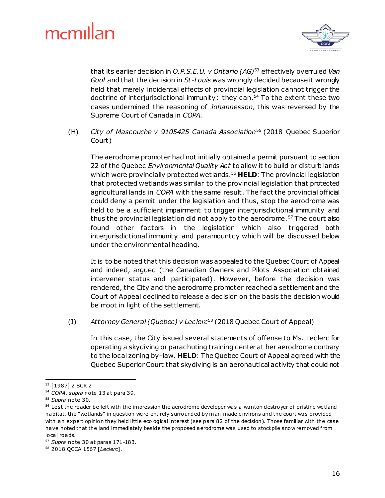

that its earlier decision in *O.P.S.E.U. v Ontario (AG)*<sup>53</sup> effectively overruled *Van Gool* and that the decision in *St-Louis* was wrongly decided because it wrongly held that merely incidental effects of provincial legislation cannot trigger the doctrine of interjurisdictional immunity: they can. <sup>54</sup> To the extent these two cases undermined the reasoning of *Johannesson,* this was reversed by the Supreme Court of Canada in *COPA*.

(H) *City of Mascouche v 9105425 Canada Association*<sup>55</sup> (2018 Quebec Superior Court)

The aerodrome promoter had not initially obtained a permit pursuant to section 22 of the Quebec *Environmental Quality Act* to allow it to build or disturb lands which were provincially protected wetlands.<sup>56</sup> HELD: The provincial legislation that protected wetlands was similar to the provincial legislation that protected agricultural lands in *COPA* with the same result. The fact the provincial official could deny a permit under the legislation and thus, stop the aerodrome was held to be a sufficient impairment to trigger interjurisdictional immunity and thus the provincial legislation did not apply to the aerodrome.<sup>57</sup> The court also found other factors in the legislation which also triggered both interjurisdictional immunity and paramountcy which will be discussed below under the environmental heading.

It is to be noted that this decision was appealed to the Quebec Court of Appeal and indeed, argued (the Canadian Owners and Pilots Association obtained intervener status and participated). However, before the decision was rendered, the City and the aerodrome promoter reached a settlement and the Court of Appeal declined to release a decision on the basis the decision would be moot in light of the settlement.

(I) *Attorney General (Quebec) v Leclerc*<sup>58</sup> (2018 Quebec Court of Appeal)

In this case, the City issued several statements of offense to Ms. Leclerc for operating a skydiving or parachuting training center at her aerodrome contrary to the local zoning by-law. **HELD**: The Quebec Court of Appeal agreed with the Quebec Superior Court that skydiving is an aeronautical activity that could not

<sup>1</sup> <sup>53</sup> [1987] 2 SCR 2.

<sup>54</sup> *COPA*, *supra* note 13 at para 39.

<sup>55</sup> *Supra* note 30.

<sup>&</sup>lt;sup>56</sup> Lest the reader be left with the impression the aerodrome developer was a wanton destroyer of pristine wetland habitat, the "we tlands" in question were entirely surrounded by m an-made environs and the court was provided with an expert opinion they held little ecological interest (see para 82 of the decision). Those familiar with the case have noted that the land immediately bes ide the proposed aerodrome was used to stockpile snow removed from local roads.

<sup>57</sup> *Supra* note 30 at paras 171-183.

<sup>58</sup> 2018 QCCA 1567 [*Leclerc*].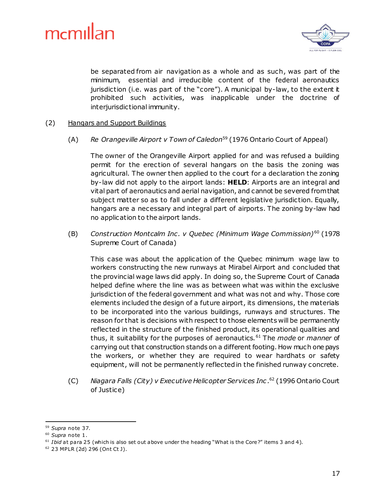

be separated from air navigation as a whole and as such, was part of the minimum, essential and irreducible content of the federal aeronautics jurisdiction (i.e. was part of the "core"). A municipal by-law, to the extent it prohibited such activities, was inapplicable under the doctrine of interjurisdictional immunity.

#### (2) Hangars and Support Buildings

(A) *Re Orangeville Airport v Town of Caledon*<sup>59</sup> (1976 Ontario Court of Appeal)

The owner of the Orangeville Airport applied for and was refused a building permit for the erection of several hangars on the basis the zoning was agricultural. The owner then applied to the court for a declaration the zoning by-law did not apply to the airport lands: **HELD**: Airports are an integral and vital part of aeronautics and aerial navigation, and cannot be severed from that subject matter so as to fall under a different legislative jurisdiction. Equally, hangars are a necessary and integral part of airports. The zoning by-law had no application to the airport lands.

(B) *Construction Montcalm Inc . v Quebec (Minimum Wage Commission)*<sup>60</sup> (1978 Supreme Court of Canada)

This case was about the application of the Quebec minimum wage law to workers constructing the new runways at Mirabel Airport and concluded that the provincial wage laws did apply. In doing so, the Supreme Court of Canada helped define where the line was as between what was within the exclusive jurisdiction of the federal government and what was not and why. Those core elements included the design of a future airport, its dimensions, the materials to be incorporated into the various buildings, runways and structures. The reason for that is decisions with respect to those elements will be permanently reflected in the structure of the finished product, its operational qualities and thus, it suitability for the purposes of aeronautics.<sup>61</sup> The *mode* or *manner* of carrying out that construction stands on a different footing. How much one pays the workers, or whether they are required to wear hardhats or safety equipment, will not be permanently reflected in the finished runway concrete.

(C) *Niagara Falls (City) v Executive Helicopter Services Inc .* <sup>62</sup> (1996 Ontario Court of Justice)

<sup>1</sup> <sup>59</sup> *Supra* note 37.

<sup>60</sup> *Supra* note 1.

<sup>&</sup>lt;sup>61</sup> *Ibid* at para 25 (which is also set out above under the heading "What is the Core?" items 3 and 4).

<sup>62</sup> 23 MPLR (2d) 296 (Ont Ct J).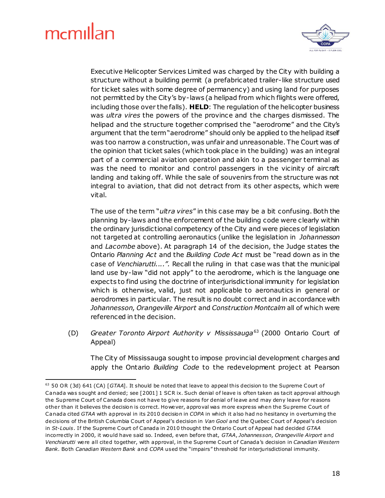1



Executive Helicopter Services Limited was charged by the City with building a structure without a building permit (a prefabricated trailer-like structure used for ticket sales with some degree of permanency) and using land for purposes not permitted by the City's by-laws (a helipad from which flights were offered, including those over the falls). **HELD**: The regulation of the helicopter business was *ultra vires* the powers of the province and the charges dismissed. The helipad and the structure together comprised the "aerodrome" and the City's argument that the term "aerodrome" should only be applied to the helipad itself was too narrow a construction, was unfair and unreasonable. The Court was of the opinion that ticket sales (which took place in the building) was an integral part of a commercial aviation operation and akin to a passenger terminal as was the need to monitor and control passengers in the vicinity of aircraft landing and taking off. While the sale of souvenirs from the structure was not integral to aviation, that did not detract from its other aspects, which were vital.

The use of the term "*ultra vires*" in this case may be a bit confusing. Both the planning by-laws and the enforcement of the building code were clearly within the ordinary jurisdictional competency of the City and were pieces of legislation not targeted at controlling aeronautics (unlike the legislation in *Johannesson* and *Lacombe* above). At paragraph 14 of the decision, the Judge states the Ontario *Planning Act* and the *Building Code Act* must be "read down as in the case of *Venchiarutti....".* Recall the ruling in that case was that the municipal land use by-law "did not apply" to the aerodrome, which is the language one expects to find using the doctrine of interjurisdictional immunity for legislation which is otherwise, valid, just not applicable to aeronautics in general or aerodromes in particular. The result is no doubt correct and in accordance with *Johannesson*, *Orangeville Airport* and *Construction Montcalm* all of which were referenced in the decision.

(D) *Greater Toronto Airport Authority v Mississauga*<sup>63</sup> (2000 Ontario Court of Appeal)

The City of Mississauga sought to impose provincial development charges and apply the Ontario *Building Code* to the redevelopment project at Pearson

<sup>&</sup>lt;sup>63</sup> 50 OR (3d) 641 (CA) [GTAA]. It should be noted that leave to appeal this decision to the Supreme Court of Canada was sought and denied; see [2001] 1 SCR ix. Such denial of leave is often taken as tacit approval although the Supreme Court of Canada does not have to give reasons for denial of leave and may deny leave for reasons other than it believes the decision is correct. However, approval was more express when the Su preme Court of Canada cited *GTAA* with approval in its 2010 decision in *COPA* in which it also had no hesitancy in overturning the decisions of the British Columbia Court of Appeal's decision in *Van Gool* and the Quebec Court of Appeal's decision in *St-Louis*. If the Supreme Court of Canada in 2010 thought the Ontario Court of Appeal had decided *GTAA* incorrectly in 2000, it would have said so. Indeed, even before that, *GTAA*, *Johannesson*, *Orangeville Airport* and *Venchiarutti* were all cited together, with approval, in the Supreme Court o f Canada's decision in *Canadian Western Bank*. Both *Canadian Western Bank* and *COPA* used the "impairs" threshold for interjurisdictional immunity.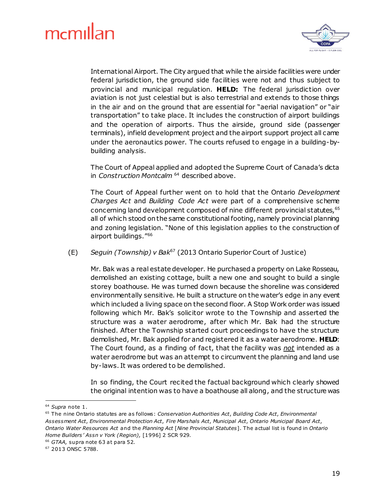

International Airport. The City argued that while the airside facilities were under federal jurisdiction, the ground side facilities were not and thus subject to provincial and municipal regulation. **HELD:** The federal jurisdiction over aviation is not just celestial but is also terrestrial and extends to those things in the air and on the ground that are essential for "aerial navigation" or "air transportation" to take place. It includes the construction of airport buildings and the operation of airports. Thus the airside, ground side (passenger terminals), infield development project and the airport support project all came under the aeronautics power. The courts refused to engage in a building-bybuilding analysis.

The Court of Appeal applied and adopted the Supreme Court of Canada's dicta in *Construction Montcalm* <sup>64</sup> described above.

The Court of Appeal further went on to hold that the Ontario *Development Charges Act* and *Building Code Act* were part of a comprehensive scheme concerning land development composed of nine different provincial statutes, 65 all of which stood on the same constitutional footing, namely provincial planning and zoning legislation. "None of this legislation applies to the construction of airport buildings."<sup>66</sup>

(E) *Seguin (Township) v Bak*<sup>67</sup> (2013 Ontario Superior Court of Justice)

Mr. Bak was a real estate developer. He purchased a property on Lake Rosseau, demolished an existing cottage, built a new one and sought to build a single storey boathouse. He was turned down because the shoreline was considered environmentally sensitive. He built a structure on the water's edge in any event which included a living space on the second floor. A Stop Work order was issued following which Mr. Bak's solicitor wrote to the Township and asserted the structure was a water aerodrome, after which Mr. Bak had the structure finished. After the Township started court proceedings to have the structure demolished, Mr. Bak applied for and registered it as a water aerodrome. **HELD**: The Court found, as a finding of fact, that the facility was *not* intended as a water aerodrome but was an attempt to circumvent the planning and land use by-laws. It was ordered to be demolished.

In so finding, the Court recited the factual background which clearly showed the original intention was to have a boathouse all along, and the structure was

<sup>64</sup> *Supra* note 1.

<sup>65</sup> The nine Ontario statutes are as follows: *Conservation Authorities Act*, *Building Code Act*, *Environmental Assessment Act*, *Environmental Protection Act*, *Fire Marshals Act*, *Municipal Act*, *Ontario Municipal Board Act*, *Ontario Water Resources Act* and the *Planning Act* [*Nine Provincial Statutes*]. The actual list is found in *Ontario Home Builders' Assn v York (Region),* [1996] 2 SCR 929.

<sup>&</sup>lt;sup>66</sup> GTAA, supra note 63 at para 52.

<sup>67</sup> 2013 ONSC 5788.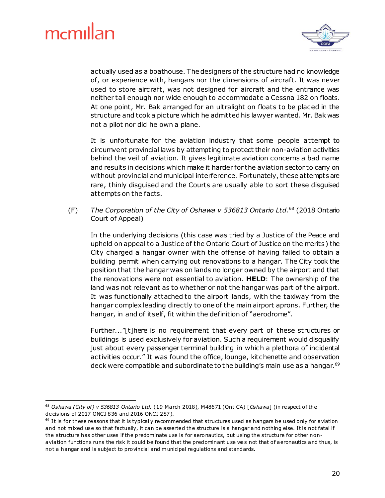1



actually used as a boathouse. The designers of the structure had no knowledge of, or experience with, hangars nor the dimensions of aircraft. It was never used to store aircraft, was not designed for aircraft and the entrance was neither tall enough nor wide enough to accommodate a Cessna 182 on floats. At one point, Mr. Bak arranged for an ultralight on floats to be placed in the structure and took a picture which he admitted his lawyer wanted. Mr. Bak was not a pilot nor did he own a plane.

It is unfortunate for the aviation industry that some people attempt to circumvent provincial laws by attempting to protect their non-aviation activities behind the veil of aviation. It gives legitimate aviation concerns a bad name and results in decisions which make it harder for the aviation sector to carry on without provincial and municipal interference. Fortunately, these attempts are rare, thinly disguised and the Courts are usually able to sort these disguised attempts on the facts.

(F) *The Corporation of the City of Oshawa v 536813 Ontario Ltd.*<sup>68</sup> (2018 Ontario Court of Appeal)

In the underlying decisions (this case was tried by a Justice of the Peace and upheld on appeal to a Justice of the Ontario Court of Justice on the merits) the City charged a hangar owner with the offense of having failed to obtain a building permit when carrying out renovations to a hangar. The City took the position that the hangar was on lands no longer owned by the airport and that the renovations were not essential to aviation. **HELD**: The ownership of the land was not relevant as to whether or not the hangar was part of the airport. It was functionally attached to the airport lands, with the taxiway from the hangar complex leading directly to one of the main airport aprons. Further, the hangar, in and of itself, fit within the definition of "aerodrome".

Further..."[t]here is no requirement that every part of these structures or buildings is used exclusively for aviation. Such a requirement would disqualify just about every passenger terminal building in which a plethora of incidental activities occur." It was found the office, lounge, kitchenette and observation deck were compatible and subordinate to the building's main use as a hangar.<sup>69</sup>

<sup>68</sup> *Oshawa (City of) v 536813 Ontario Ltd.* (19 March 2018), M48671 (Ont CA) [*Oshawa*] (in respect o f the decisions of 2017 ONCJ 836 and 2016 ONCJ 287).

 $69$  It is for these reasons that it is typically recommended that structures used as hangars be used only for aviation and not mixed use so that factually, it can be asserted the structure is a hangar and nothing else. It is not fatal if the structure has other uses if the predominate use is for aeronautics, but using the structure for other nonaviation functions runs the risk it could be found that the predominant use was not that of aeronautics and thus, is not a hangar and is subject to provincial and municipal regulations and standards.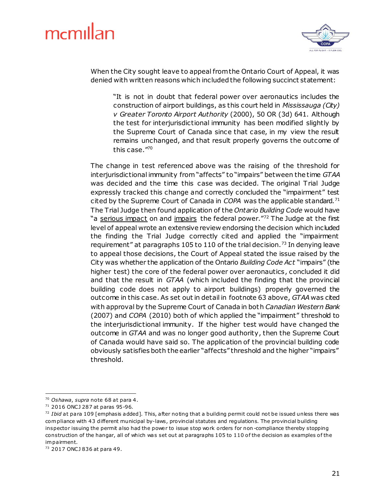

When the City sought leave to appeal from the Ontario Court of Appeal, it was denied with written reasons which included the following succinct statement:

"It is not in doubt that federal power over aeronautics includes the construction of airport buildings, as this court held in *Mississauga (City) v Greater Toronto Airport Authority* (2000), 50 OR (3d) 641. Although the test for interjurisdictional immunity has been modified slightly by the Supreme Court of Canada since that case, in my view the result remains unchanged, and that result properly governs the outcome of this case."<sup>70</sup>

The change in test referenced above was the raising of the threshold for interjurisdictional immunity from "affects" to "impairs" between the time *GTAA* was decided and the time this case was decided. The original Trial Judge expressly tracked this change and correctly concluded the "impairment" test cited by the Supreme Court of Canada in *COPA* was the applicable standard.<sup>71</sup> The Trial Judge then found application of the *Ontario Building Code* would have "a serious impact on and impairs the federal power."72 The Judge at the first level of appeal wrote an extensive review endorsing the decision which included the finding the Trial Judge correctly cited and applied the "impairment requirement" at paragraphs 105 to 110 of the trial decision.<sup>73</sup> In denying leave to appeal those decisions, the Court of Appeal stated the issue raised by the City was whether the application of the Ontario *Building Code Act* "impairs" (the higher test) the core of the federal power over aeronautics, concluded it did and that the result in *GTAA* (which included the finding that the provincial building code does not apply to airport buildings) properly governed the outcome in this case. As set out in detail in footnote 63 above, *GTAA* was cited with approval by the Supreme Court of Canada in both *Canadian Western Bank* (2007) and *COPA* (2010) both of which applied the "impairment" threshold to the interjurisdictional immunity. If the higher test would have changed the outcome in *GTAA* and was no longer good authority, then the Supreme Court of Canada would have said so. The application of the provincial building code obviously satisfies both the earlier "affects" threshold and the higher "impairs" threshold.

<sup>&</sup>lt;sup>70</sup> Oshawa, supra note 68 at para 4.

<sup>71</sup> 2016 ONCJ 287 at paras 95-96.

<sup>72</sup> *Ibid* at para 109 [emphasis added]. This, a fter noting that a building permit could not be issued unless there was com pliance with 43 different municipal by-laws, provincial statutes and regulations. The provincial building inspector issuing the permit also had the power to issue stop work orders for non -compliance thereby stopping construction of the hangar, all of which was set out at paragraphs 105 to 110 of the decision as examples of the im pairment.

<sup>73</sup> 2017 ONCJ 836 at para 49.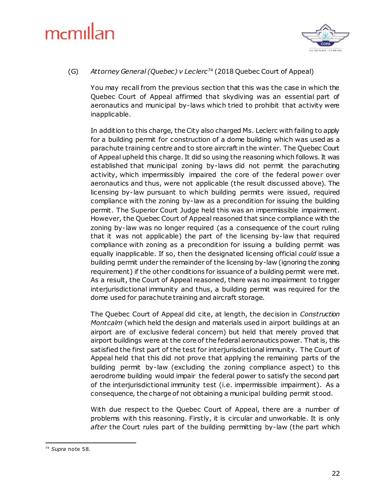

#### (G) *Attorney General (Quebec) v Leclerc*<sup>74</sup> (2018 Quebec Court of Appeal)

You may recall from the previous section that this was the case in which the Quebec Court of Appeal affirmed that skydiving was an essential part of aeronautics and municipal by-laws which tried to prohibit that activity were inapplicable.

In addition to this charge, the City also charged Ms. Leclerc with failing to apply for a building permit for construction of a dome building which was used as a parachute training centre and to store aircraft in the winter. The Quebec Court of Appeal upheld this charge. It did so using the reasoning which follows. It was established that municipal zoning by-laws did not permit the parachuting activity, which impermissibly impaired the core of the federal power over aeronautics and thus, were not applicable (the result discussed above). The licensing by-law pursuant to which building permits were issued, required compliance with the zoning by-law as a precondition for issuing the building permit. The Superior Court Judge held this was an impermissible impairment. However, the Quebec Court of Appeal reasoned that since compliance with the zoning by-law was no longer required (as a consequence of the court ruling that it was not applicable) the part of the licensing by-law that required compliance with zoning as a precondition for issuing a building permit was equally inapplicable. If so, then the designated licensing official *could* issue a building permit under the remainder of the licensing by-law (ignoring the zoning requirement) if the other conditions for issuance of a building permit were met. As a result, the Court of Appeal reasoned, there was no impairment to trigger interjurisdictional immunity and thus, a building permit was required for the dome used for parachute training and aircraft storage.

The Quebec Court of Appeal did cite, at length, the decision in *Construction Montcalm* (which held the design and materials used in airport buildings at an airport are of exclusive federal concern) but held that merely proved that airport buildings were at the core of the federal aeronautics power. That is, this satisfied the first part of the test for interjurisdictional immunity. The Court of Appeal held that this did not prove that applying the remaining parts of the building permit by-law (excluding the zoning compliance aspect) to this aerodrome building would impair the federal power to satisfy the second part of the interjurisdictional immunity test (i.e. impermissible impairment). As a consequence, the charge of not obtaining a municipal building permit stood.

With due respect to the Quebec Court of Appeal, there are a number of problems with this reasoning. Firstly, it is circular and unworkable. It is only *after* the Court rules part of the building permitting by-law (the part which

<sup>1</sup> <sup>74</sup> *Supra* note 58.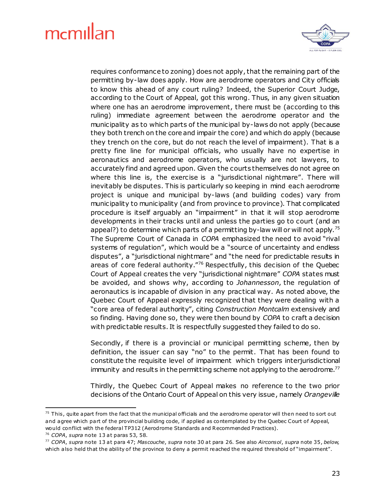

requires conformance to zoning) does not apply, that the remaining part of the permitting by-law does apply. How are aerodrome operators and City officials to know this ahead of any court ruling? Indeed, the Superior Court Judge, according to the Court of Appeal, got this wrong. Thus, in any given situation where one has an aerodrome improvement, there must be (according to this ruling) immediate agreement between the aerodrome operator and the municipality as to which parts of the municipal by-laws do not apply (because they both trench on the core and impair the core) and which do apply (because they trench on the core, but do not reach the level of impairment). That is a pretty fine line for municipal officials, who usually have no expertise in aeronautics and aerodrome operators, who usually are not lawyers, to accurately find and agreed upon. Given the courts themselves do not agree on where this line is, the exercise is a "jurisdictional nightmare". There will inevitably be disputes. This is particularly so keeping in mind each aerodrome project is unique and municipal by-laws (and building codes) vary from municipality to municipality (and from province to province). That complicated procedure is itself arguably an "impairment" in that it will stop aerodrome developments in their tracks until and unless the parties go to court (and an appeal?) to determine which parts of a permitting by-law will or will not apply.<sup>75</sup> The Supreme Court of Canada in *COPA* emphasized the need to avoid "rival systems of regulation", which would be a "source of uncertainty and endless disputes", a "jurisdictional nightmare" and "the need for predictable results in areas of core federal authority."<sup>76</sup> Respectfully, this decision of the Quebec Court of Appeal creates the very "jurisdictional nightmare" *COPA* states must be avoided, and shows why, according to *Johannesson*, the regulation of aeronautics is incapable of division in any practical way. As noted above, the Quebec Court of Appeal expressly recognized that they were dealing with a "core area of federal authority", citing *Construction Montcalm* extensively and so finding. Having done so, they were then bound by *COPA* to craft a decision with predictable results. It is respectfully suggested they failed to do so.

Secondly, if there is a provincial or municipal permitting scheme, then by definition, the issuer can say "no" to the permit. That has been found to constitute the requisite level of impairment which triggers interjurisdictional immunity and results in the permitting scheme not applying to the aerodrome.<sup>77</sup>

Thirdly, the Quebec Court of Appeal makes no reference to the two prior decisions of the Ontario Court of Appeal on this very issue, namely *Orangeville* 

l,

 $75$  This, quite apart from the fact that the municipal officials and the aerodrome operator will then need to sort out and agree which part of the provincial building code, if applied as contemplated by the Quebec Court of Appeal, would conflict with the federal TP312 (Aerodrome Standards and Recommended Practices). <sup>76</sup> *COPA*, *supra* note 13 at paras 53, 58.

<sup>77</sup> *COPA*, *supra* note 13 at para 47; *Mascouche*, *supra* note 30 at para 26. See also *Airconsol*, *supra* note 35, *below,*

which also held that the ability of the province to deny a permit reached the required threshold of "impairment".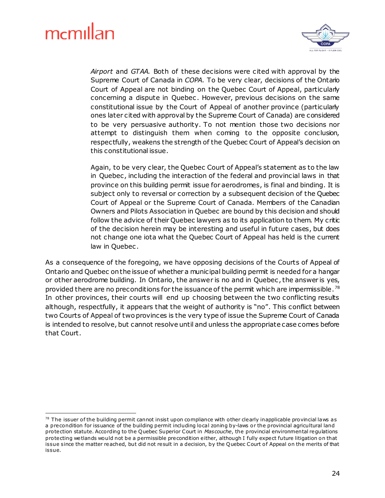1



*Airport* and *GTAA.* Both of these decisions were cited with approval by the Supreme Court of Canada in *COPA*. To be very clear, decisions of the Ontario Court of Appeal are not binding on the Quebec Court of Appeal, particularly concerning a dispute in Quebec . However, previous decisions on the same constitutional issue by the Court of Appeal of another province (particularly ones later cited with approval by the Supreme Court of Canada) are considered to be very persuasive authority. To not mention those two decisions nor attempt to distinguish them when coming to the opposite conclusion, respectfully, weakens the strength of the Quebec Court of Appeal's decision on this constitutional issue.

Again, to be very clear, the Quebec Court of Appeal's statement as to the law in Quebec, including the interaction of the federal and provincial laws in that province on this building permit issue for aerodromes, is final and binding. It is subject only to reversal or correction by a subsequent decision of the Quebec Court of Appeal or the Supreme Court of Canada. Members of the Canadian Owners and Pilots Association in Quebec are bound by this decision and should follow the advice of their Quebec lawyers as to its application to them. My critic of the decision herein may be interesting and useful in future cases, but does not change one iota what the Quebec Court of Appeal has held is the current law in Quebec.

As a consequence of the foregoing, we have opposing decisions of the Courts of Appeal of Ontario and Quebec on the issue of whether a municipal building permit is needed for a hangar or other aerodrome building. In Ontario, the answer is no and in Quebec , the answer is yes, provided there are no preconditions for the issuance of the permit which are impermissible.<sup>78</sup> In other provinces, their courts will end up choosing between the two conflicting results although, respectfully, it appears that the weight of authority is "no". This conflict between two Courts of Appeal of two provinces is the very type of issue the Supreme Court of Canada is intended to resolve, but cannot resolve until and unless the appropriate case comes before that Court.

 $78$  The issuer of the building permit cannot insist upon compliance with other clearly inapplicable provincial laws as a precondition for issuance of the building permit including local zoning by-laws or the provincial agricultural land protection statute. According to the Quebec Superior Court in *Mascouche*, the provincial environmental regulations protecting we tlands would not be a permissible precondition either, although I fully expect future litigation on that issue since the matter reached, but did not result in a decision, by the Quebec Court of Appeal on the merits of that issue.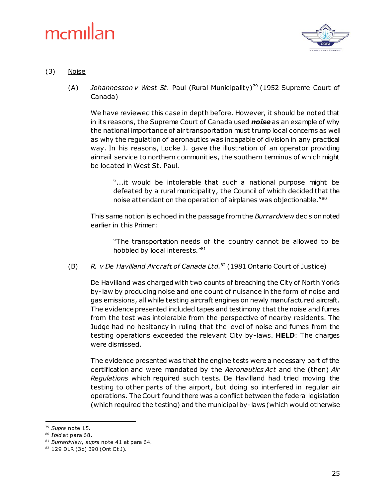

#### (3) Noise

(A) *Johannesson v West St.* Paul (Rural Municipality)<sup>79</sup> (1952 Supreme Court of Canada)

We have reviewed this case in depth before. However, it should be noted that in its reasons, the Supreme Court of Canada used *noise* as an example of why the national importance of air transportation must trump local concerns as well as why the regulation of aeronautics was incapable of division in any practical way. In his reasons, Locke J. gave the illustration of an operator providing airmail service to northern communities, the southern terminus of which might be located in West St. Paul.

"...it would be intolerable that such a national purpose might be defeated by a rural municipality, the Council of which decided that the noise attendant on the operation of airplanes was objectionable."<sup>80</sup>

This same notion is echoed in the passage from the *Burrardview* decision noted earlier in this Primer:

"The transportation needs of the country cannot be allowed to be hobbled by local interests."<sup>81</sup>

(B) *R. v De Havilland Aircraft of Canada Ltd.*<sup>82</sup> (1981 Ontario Court of Justice)

De Havilland was charged with two counts of breaching the City of North York's by-law by producing noise and one count of nuisance in the form of noise and gas emissions, all while testing aircraft engines on newly manufactured aircraft. The evidence presented included tapes and testimony that the noise and fumes from the test was intolerable from the perspective of nearby residents. The Judge had no hesitancy in ruling that the level of noise and fumes from the testing operations exceeded the relevant City by-laws. **HELD**: The charges were dismissed.

The evidence presented was that the engine tests were a necessary part of the certification and were mandated by the *Aeronautics Act* and the (then) *Air Regulations* which required such tests. De Havilland had tried moving the testing to other parts of the airport, but doing so interfered in regular air operations. The Court found there was a conflict between the federal legislation (which required the testing) and the municipal by-laws (which would otherwise

<sup>79</sup> *Supra* note 15.

<sup>80</sup> *Ibid* at para 68.

<sup>81</sup> *Burrardview*, *supra* note 41 at para 64.

<sup>82</sup> 129 DLR (3d) 390 (Ont Ct J).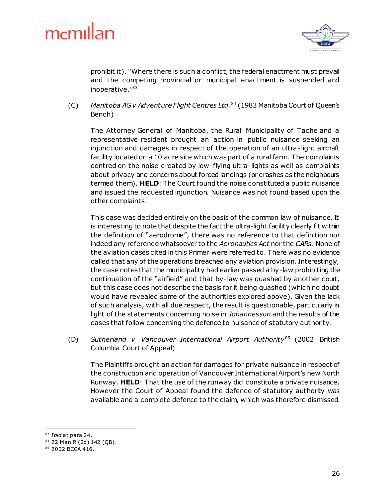

prohibit it). "Where there is such a conflict, the federal enactment must prevail and the competing provincial or municipal enactment is suspended and inoperative."<sup>83</sup>

(C) *Manitoba AG v Adventure Flight Centres Ltd.*<sup>84</sup> (1983 Manitoba Court of Queen's Bench)

The Attorney General of Manitoba, the Rural Municipality of Tache and a representative resident brought an action in public nuisance seeking an injunction and damages in respect of the operation of an ultra-light aircraft facility located on a 10 acre site which was part of a rural farm. The complaints centred on the noise created by low-flying ultra-lights as well as complaints about privacy and concerns about forced landings (or crashes as the neighbours termed them). **HELD**: The Court found the noise constituted a public nuisance and issued the requested injunction. Nuisance was not found based upon the other complaints.

This case was decided entirely on the basis of the common law of nuisance. It is interesting to note that despite the fact the ultra-light facility clearly fit within the definition of "aerodrome", there was no reference to that definition nor indeed any reference whatsoever to the *Aeronautics Act* nor the *CARs*. None of the aviation cases cited in this Primer were referred to. There was no evidence called that any of the operations breached any aviation provision. Interestingly, the case notes that the municipality had earlier passed a by-law prohibiting the continuation of the "airfield" and that by-law was quashed by another court, but this case does not describe the basis for it being quashed (which no doubt would have revealed some of the authorities explored above). Given the lack of such analysis, with all due respect, the result is questionable, particularly in light of the statements concerning noise in *Johannesson* and the results of the cases that follow concerning the defence to nuisance of statutory authority.

(D) *Sutherland v Vancouver International Airport Authority*<sup>85</sup> (2002 British Columbia Court of Appeal)

The Plaintiffs brought an action for damages for private nuisance in respect of the construction and operation of Vancouver International Airport's new North Runway. **HELD**: That the use of the runway did constitute a private nuisance. However the Court of Appeal found the defence of statutory authority was available and a complete defence to the claim, which was therefore dismissed.

<sup>1</sup> <sup>83</sup> *Ibid* at para 24.

<sup>84</sup> 22 Man R (2d) 142 (QB).

<sup>85 2002</sup> BCCA 416.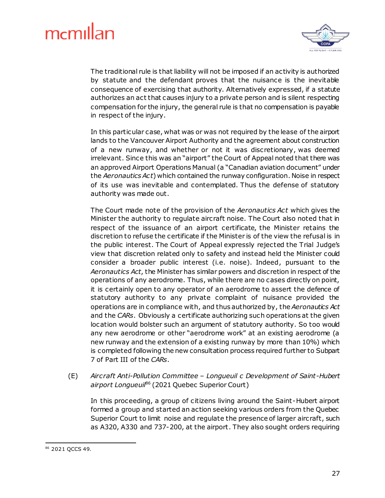

The traditional rule is that liability will not be imposed if an activity is authorized by statute and the defendant proves that the nuisance is the inevitable consequence of exercising that authority. Alternatively expressed, if a statute authorizes an act that causes injury to a private person and is silent respecting compensation for the injury, the general rule is that no compensation is payable in respect of the injury.

In this particular case, what was or was not required by the lease of the airport lands to the Vancouver Airport Authority and the agreement about construction of a new runway, and whether or not it was discretionary, was deemed irrelevant. Since this was an "airport" the Court of Appeal noted that there was an approved Airport Operations Manual (a "Canadian aviation document" under the *Aeronautics Act*) which contained the runway configuration. Noise in respect of its use was inevitable and contemplated. Thus the defense of statutory authority was made out.

The Court made note of the provision of the *Aeronautics Act* which gives the Minister the authority to regulate aircraft noise. The Court also noted that in respect of the issuance of an airport certificate, the Minister retains the discretion to refuse the certificate if the Minister is of the view the refusal is in the public interest. The Court of Appeal expressly rejected the Trial Judge's view that discretion related only to safety and instead held the Minister could consider a broader public interest (i.e. noise). Indeed, pursuant to the *Aeronautics Act*, the Minister has similar powers and discretion in respect of the operations of any aerodrome. Thus, while there are no cases directly on point, it is certainly open to any operator of an aerodrome to assert the defence of statutory authority to any private complaint of nuisance provided the operations are in compliance with, and thus authorized by, the *Aeronautics Act* and the *CARs*. Obviously a certificate authorizing such operations at the given location would bolster such an argument of statutory authority. So too would any new aerodrome or other "aerodrome work" at an existing aerodrome (a new runway and the extension of a existing runway by more than 10%) which is completed following the new consultation process required further to Subpart 7 of Part III of the *CARs*.

(E) *Aircraft Anti-Pollution Committee – Longueuil c Development of Saint-Hubert airport Longueuil*<sup>86</sup> (2021 Quebec Superior Court)

In this proceeding, a group of citizens living around the Saint-Hubert airport formed a group and started an action seeking various orders from the Quebec Superior Court to limit noise and regulate the presence of larger aircraft, such as A320, A330 and 737-200, at the airport. They also sought orders requiring

<sup>1</sup> <sup>86</sup> 2021 QCCS 49.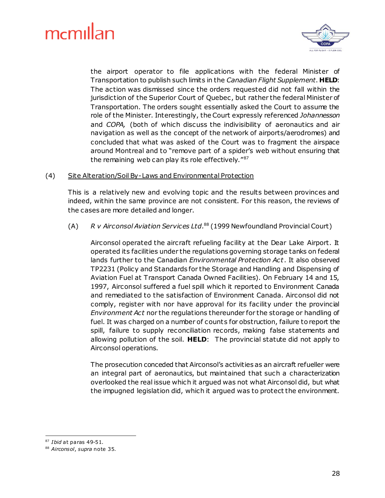

the airport operator to file applications with the federal Minister of Transportation to publish such limits in the *Canadian Flight Supplement*. **HELD**: The action was dismissed since the orders requested did not fall within the jurisdiction of the Superior Court of Quebec , but rather the federal Minister of Transportation. The orders sought essentially asked the Court to assume the role of the Minister. Interestingly, the Court expressly referenced *Johannesson* and *COPA,* (both of which discuss the indivisibility of aeronautics and air navigation as well as the concept of the network of airports/aerodromes) and concluded that what was asked of the Court was to fragment the airspace around Montreal and to "remove part of a spider's web without ensuring that the remaining web can play its role effectively."87

#### (4) Site Alteration/Soil By-Laws and Environmental Protection

This is a relatively new and evolving topic and the results between provinces and indeed, within the same province are not consistent. For this reason, the reviews of the cases are more detailed and longer.

#### (A) *R v Airconsol Aviation Services Ltd.* <sup>88</sup> (1999 Newfoundland Provincial Court)

Airconsol operated the aircraft refueling facility at the Dear Lake Airport. It operated its facilities under the regulations governing storage tanks on federal lands further to the Canadian *Environmental Protection Act*. It also observed TP2231 (Policy and Standards for the Storage and Handling and Dispensing of Aviation Fuel at Transport Canada Owned Facilities). On February 14 and 15, 1997, Airconsol suffered a fuel spill which it reported to Environment Canada and remediated to the satisfaction of Environment Canada. Airconsol did not comply, register with nor have approval for its facility under the provincial *Environment Act* nor the regulations thereunder for the storage or handling of fuel. It was charged on a number of counts for obstruction, failure to report the spill, failure to supply reconciliation records, making false statements and allowing pollution of the soil. **HELD**: The provincial statute did not apply to Airconsol operations.

The prosecution conceded that Airconsol's activities as an aircraft refueller were an integral part of aeronautics, but maintained that such a characterization overlooked the real issue which it argued was not what Airconsol did, but what the impugned legislation did, which it argued was to protect the environment.

<sup>87</sup> *Ibid* at paras 49-51.

<sup>88</sup> *Airconsol*, *supra* note 35.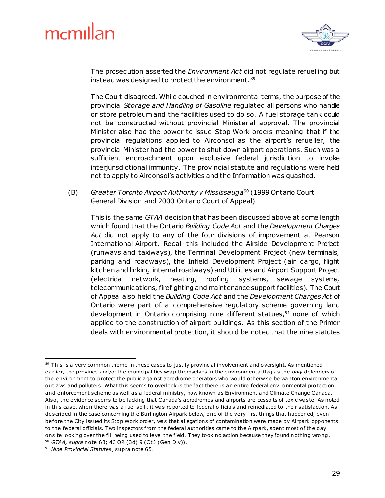

The prosecution asserted the *Environment Act* did not regulate refuelling but instead was designed to protect the environment.<sup>89</sup>

The Court disagreed. While couched in environmental terms, the purpose of the provincial *Storage and Handling of Gasoline* regulated all persons who handle or store petroleum and the facilities used to do so. A fuel storage tank could not be constructed without provincial Ministerial approval. The provincial Minister also had the power to issue Stop Work orders meaning that if the provincial regulations applied to Airconsol as the airport's refueller, the provincial Minister had the power to shut down airport operations. Such was a sufficient encroachment upon exclusive federal jurisdiction to invoke interjurisdictional immunity. The provincial statute and regulations were held not to apply to Airconsol's activities and the Information was quashed.

(B) *Greater Toronto Airport Authority v Mississauga* <sup>90</sup> (1999 Ontario Court General Division and 2000 Ontario Court of Appeal)

This is the same *GTAA* decision that has been discussed above at some length which found that the Ontario *Building Code Act* and the *Development Charges Act* did not apply to any of the four divisions of improvement at Pearson International Airport. Recall this included the Airside Development Project (runways and taxiways), the Terminal Development Project (new terminals, parking and roadways), the Infield Development Project (air cargo, flight kitchen and linking internal roadways) and Utilities and Airport Support Project (electrical network, heating, roofing systems, sewage systems, telecommunications, firefighting and maintenance support facilities). The Court of Appeal also held the *Building Code Act* and the *Development Charges Act* of Ontario were part of a comprehensive regulatory scheme governing land development in Ontario comprising nine different statues, $91$  none of which applied to the construction of airport buildings. As this section of the Primer deals with environmental protection, it should be noted that the nine statutes

<sup>&</sup>lt;sup>89</sup> This is a very common theme in these cases to justify provincial involvement and oversight. As mentioned earlier, the province and/or the municipalities wrap themselves in the environmental flag as the *only* defenders of the environment to protect the public against aerodrome operators who would otherwise be wanton environmental outlaws and polluters. What this seems to overlook is the fact there is an entire federal environmental protection and enforcement scheme as well as a federal ministry, now known as Environment and Climate Change Canada. Also , the evidence seems to be lacking that Canada's aerodromes and airports are cesspits of toxic waste. As noted in this case, when there was a fuel spill, it was reported to federal officials and remediated to their satisfaction. As described in the case concerning the Burlington Airpark below, one of the very first things that happened, even be fore the City issued its Stop Work order, was that allegations of contamination were made by Airpark opponents to the federal officials. Two inspectors from the federal authorities came to the Airpark, spent most of the day onsite looking over the fill being used to level the field. They took no action because they found nothing wrong. 90 *GTAA, supra* note 63; 43 OR (3d) 9 (CtJ (Gen Div)).

<sup>91</sup> *Nine Provincial Statutes*, supra note 65.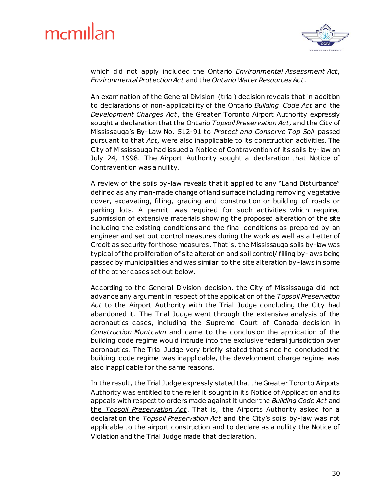

which did not apply included the Ontario *Environmental Assessment Act*, *Environmental Protection Act* and the *Ontario Water Resources Act.*

An examination of the General Division (trial) decision reveals that in addition to declarations of non-applicability of the Ontario *Building Code Act* and the *Development Charges Act*, the Greater Toronto Airport Authority expressly sought a declaration that the Ontario *Topsoil Preservation Act,* and the City of Mississauga's By-Law No. 512-91 to *Protect and Conserve Top Soil* passed pursuant to that *Act,* were also inapplicable to its construction activities. The City of Mississauga had issued a Notice of Contravention of its soils by-law on July 24, 1998. The Airport Authority sought a declaration that Notice of Contravention was a nullity.

A review of the soils by-law reveals that it applied to any "Land Disturbance" defined as any man-made change of land surface including removing vegetative cover, excavating, filling, grading and construction or building of roads or parking lots. A permit was required for such activities which required submission of extensive materials showing the proposed alteration of the site including the existing conditions and the final conditions as prepared by an engineer and set out control measures during the work as well as a Letter of Credit as security for those measures. That is, the Mississauga soils by-law was typical of the proliferation of site alteration and soil control/ filling by-laws being passed by municipalities and was similar to the site alteration by-laws in some of the other cases set out below.

According to the General Division decision, the City of Mississauga did not advance any argument in respect of the application of the *Topsoil Preservation Act* to the Airport Authority with the Trial Judge concluding the City had abandoned it. The Trial Judge went through the extensive analysis of the aeronautics cases, including the Supreme Court of Canada decision in *Construction Montcalm* and came to the conclusion the application of the building code regime would intrude into the exclusive federal jurisdiction over aeronautics. The Trial Judge very briefly stated that since he concluded the building code regime was inapplicable, the development charge regime was also inapplicable for the same reasons.

In the result, the Trial Judge expressly stated that the Greater Toronto Airports Authority was entitled to the relief it sought in its Notice of Application and its appeals with respect to orders made against it under the *Building Code Act* and the *Topsoil Preservation Act*. That is, the Airports Authority asked for a declaration the *Topsoil Preservation Act* and the City's soils by-law was not applicable to the airport construction and to declare as a nullity the Notice of Violation and the Trial Judge made that declaration.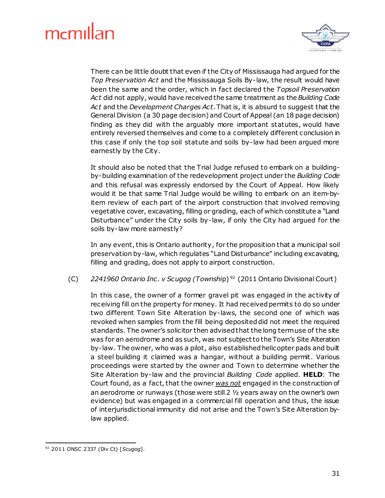

There can be little doubt that even if the City of Mississauga had argued for the *Top Preservation Act* and the Mississauga Soils By-law, the result would have been the same and the order, which in fact declared the *Topsoil Preservation Act* did not apply, would have received the same treatment as the *Building Code Act* and the *Development Charges Act*. That is, it is absurd to suggest that the General Division (a 30 page decision) and Court of Appeal (an 18 page decision) finding as they did with the arguably more important statutes, would have entirely reversed themselves and come to a completely different conclusion in this case if only the top soil statute and soils by-law had been argued more earnestly by the City.

It should also be noted that the Trial Judge refused to embark on a buildingby-building examination of the redevelopment project under the *Building Code* and this refusal was expressly endorsed by the Court of Appeal. How likely would it be that same Trial Judge would be willing to embark on an item-byitem review of each part of the airport construction that involved removing vegetative cover, excavating, filling or grading, each of which constitute a "Land Disturbance" under the City soils by-law, if only the City had argued for the soils by-law more earnestly?

In any event, this is Ontario authority, for the proposition that a municipal soil preservation by-law, which regulates "Land Disturbance" including excavating, filling and grading, does not apply to airport construction.

(C) *2241960 Ontario Inc . v Scugog (Townshi*p) <sup>92</sup> (2011 Ontario Divisional Court)

In this case, the owner of a former gravel pit was engaged in the activity of receiving fill on the property for money. It had received permits to do so under two different Town Site Alteration by-laws, the second one of which was revoked when samples from the fill being deposited did not meet the required standards. The owner's solicitor then advised that the long term use of the site was for an aerodrome and as such, was not subject to the Town's Site Alteration by-law. The owner, who was a pilot, also established helicopter pads and built a steel building it claimed was a hangar, without a building permit. Various proceedings were started by the owner and Town to determine whether the Site Alteration by-law and the provincial *Building Code* applied. **HELD**: The Court found, as a fact, that the owner *was not* engaged in the construction of an aerodrome or runways (those were still 2 ½ years away on the owner's own evidence) but was engaged in a commercial fill operation and thus, the issue of interjurisdictional immunity did not arise and the Town's Site Alteration bylaw applied.

<sup>1</sup> <sup>92</sup> 2011 ONSC 2337 (Div Ct) [*Scugog*].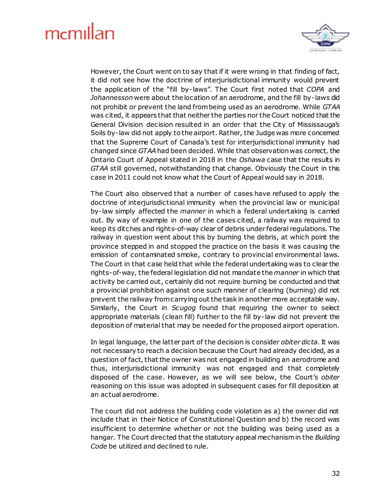

However, the Court went on to say that if it were wrong in that finding of fact, it did not see how the doctrine of interjurisdictional immunity would prevent the application of the "fill by-laws". The Court first noted that *COPA* and *Johannesson* were about the location of an aerodrome, and the fill by-laws did not prohibit or prevent the land from being used as an aerodrome. While *GTAA* was cited, it appears that that neither the parties nor the Court noticed that the General Division decision resulted in an order that the City of Mississauga's Soils by-law did not apply to the airport. Rather, the Judge was more concerned that the Supreme Court of Canada's test for interjurisdictional immunity had changed since *GTAA*had been decided. While that observation was correct, the Ontario Court of Appeal stated in 2018 in the *Oshawa* case that the results in *GTAA* still governed, notwithstanding that change. Obviously the Court in this case in 2011 could not know what the Court of Appeal would say in 2018.

The Court also observed that a number of cases have refused to apply the doctrine of interjurisdictional immunity when the provincial law or municipal by-law simply affected the *manner* in which a federal undertaking is carried out. By way of example in one of the cases cited, a railway was required to keep its ditches and rights-of-way clear of debris under federal regulations. The railway in question went about this by burning the debris, at which point the province stepped in and stopped the practice on the basis it was causing the emission of contaminated smoke, contrary to provincial environmental laws. The Court in that case held that while the federal undertaking was to clear the rights-of-way, the federal legislation did not mandate the *manner* in which that activity be carried out, certainly did not require burning be conducted and that a provincial prohibition against one such manner of clearing (burning) did not prevent the railway from carrying out the task in another more acceptable way. Similarly, the Court in *Scugog* found that requiring the owner to select appropriate materials (clean fill) further to the fill by-law did not prevent the deposition of material that may be needed for the proposed airport operation.

In legal language, the latter part of the decision is consider *obiter dicta*. It was not necessary to reach a decision because the Court had already decided, as a question of fact, that the owner was not engaged in building an aerodrome and thus, interjurisdictional immunity was not engaged and that completely disposed of the case. However, as we will see below, the Court's *obiter* reasoning on this issue was adopted in subsequent cases for fill deposition at an actual aerodrome.

The court did not address the building code violation as a) the owner did not include that in their Notice of Constitutional Question and b) the record was insufficient to determine whether or not the building was being used as a hangar. The Court directed that the statutory appeal mechanism in the *Building Code* be utilized and declined to rule.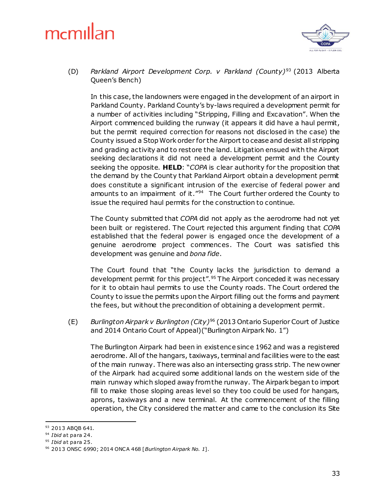

(D) *Parkland Airport Development Corp. v Parkland (County)*<sup>93</sup> (2013 Alberta Queen's Bench)

In this case, the landowners were engaged in the development of an airport in Parkland County. Parkland County's by-laws required a development permit for a number of activities including "Stripping, Filling and Excavation". When the Airport commenced building the runway (it appears it did have a haul permit, but the permit required correction for reasons not disclosed in the case) the County issued a Stop Work order for the Airport to cease and desist all stripping and grading activity and to restore the land. Litigation ensued with the Airport seeking declarations it did not need a development permit and the County seeking the opposite. **HELD**: "*COPA* is clear authority for the proposition that the demand by the County that Parkland Airport obtain a development permit does constitute a significant intrusion of the exercise of federal power and amounts to an impairment of it."<sup>94</sup> The Court further ordered the County to issue the required haul permits for the construction to continue.

The County submitted that *COPA* did not apply as the aerodrome had not yet been built or registered. The Court rejected this argument finding that *COPA* established that the federal power is engaged once the development of a genuine aerodrome project commences. The Court was satisfied this development was genuine and *bona fide*.

The Court found that "the County lacks the jurisdiction to demand a development permit for this project".<sup>95</sup> The Airport conceded it was necessary for it to obtain haul permits to use the County roads. The Court ordered the County to issue the permits upon the Airport filling out the forms and payment the fees, but without the precondition of obtaining a development permit.

(E) *Burlington Airpark v Burlington (City)*<sup>96</sup> (2013 Ontario Superior Court of Justice and 2014 Ontario Court of Appeal)("Burlington Airpark No. 1")

The Burlington Airpark had been in existence since 1962 and was a registered aerodrome. All of the hangars, taxiways, terminal and facilities were to the east of the main runway. There was also an intersecting grass strip. The new owner of the Airpark had acquired some additional lands on the western side of the main runway which sloped away from the runway. The Airpark began to import fill to make those sloping areas level so they too could be used for hangars, aprons, taxiways and a new terminal. At the commencement of the filling operation, the City considered the matter and came to the conclusion its Site

<sup>93 2013</sup> ABQB 641.

<sup>94</sup> *Ibid* at para 24.

<sup>95</sup> *Ibid* at para 25.

<sup>96</sup> 2013 ONSC 6990; 2014 ONCA 468 [*Burlington Airpark No. 1*].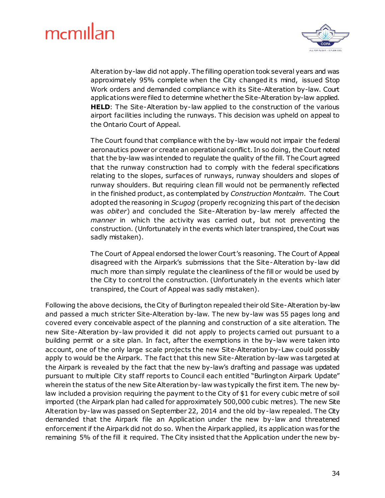

Alteration by-law did not apply. The filling operation took several years and was approximately 95% complete when the City changed it s mind, issued Stop Work orders and demanded compliance with its Site-Alteration by-law. Court applications were filed to determine whether the Site-Alteration by-law applied. **HELD**: The Site-Alteration by-law applied to the construction of the various airport facilities including the runways. This decision was upheld on appeal to the Ontario Court of Appeal.

The Court found that compliance with the by-law would not impair the federal aeronautics power or create an operational conflict. In so doing, the Court noted that the by-law was intended to regulate the quality of the fill. The Court agreed that the runway construction had to comply with the federal specifications relating to the slopes, surfaces of runways, runway shoulders and slopes of runway shoulders. But requiring clean fill would not be permanently reflected in the finished product, as contemplated by *Construction Montcalm*. The Court adopted the reasoning in *Scugog* (properly recognizing this part of the decision was *obiter*) and concluded the Site-Alteration by-law merely affected the *manner* in which the activity was carried out, but not preventing the construction. (Unfortunately in the events which later transpired, the Court was sadly mistaken).

The Court of Appeal endorsed the lower Court's reasoning. The Court of Appeal disagreed with the Airpark's submissions that the Site-Alteration by-law did much more than simply regulate the cleanliness of the fill or would be used by the City to control the construction. (Unfortunately in the events which later transpired, the Court of Appeal was sadly mistaken).

Following the above decisions, the City of Burlington repealed their old Site-Alteration by-law and passed a much stricter Site-Alteration by-law. The new by-law was 55 pages long and covered every conceivable aspect of the planning and construction of a site alteration. The new Site-Alteration by-law provided it did not apply to projects carried out pursuant to a building permit or a site plan. In fact, after the exemptions in the by-law were taken into account, one of the only large scale projects the new Site-Alteration by-Law could possibly apply to would be the Airpark. The fact that this new Site-Alteration by-law was targeted at the Airpark is revealed by the fact that the new by-law's drafting and passage was updated pursuant to multiple City staff reports to Council each entitled "Burlington Airpark Update" wherein the status of the new Site Alteration by-law was typically the first item. The new bylaw included a provision requiring the payment to the City of \$1 for every cubic metre of soil imported (the Airpark plan had called for approximately 500,000 cubic metres). The new Site Alteration by-law was passed on September 22, 2014 and the old by-law repealed. The City demanded that the Airpark file an Application under the new by-law and threatened enforcement if the Airpark did not do so. When the Airpark applied, its application was for the remaining 5% of the fill it required. The City insisted that the Application under the new by-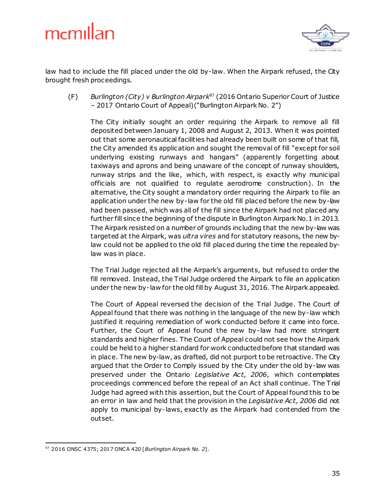

law had to include the fill placed under the old by-law. When the Airpark refused, the City brought fresh proceedings.

(F) *Burlington (City) v Burlington Airpark*<sup>97</sup> (2016 Ontario Superior Court of Justice – 2017 Ontario Court of Appeal)("Burlington Airpark No. 2")

The City initially sought an order requiring the Airpark to remove all fill deposited between January 1, 2008 and August 2, 2013. When it was pointed out that some aeronautical facilities had already been built on some of that fill, the City amended its application and sought the removal of fill "except for soil underlying existing runways and hangars" (apparently forgetting about taxiways and aprons and being unaware of the concept of runway shoulders, runway strips and the like, which, with respect, is exactly why municipal officials are not qualified to regulate aerodrome construction). In the alternative, the City sought a mandatory order requiring the Airpark to file an application under the new by-law for the old fill placed before the new by-law had been passed, which was all of the fill since the Airpark had not placed any further fill since the beginning of the dispute in Burlington Airpark No.1 in 2013. The Airpark resisted on a number of grounds including that the new by-law was targeted at the Airpark, was *ultra vires* and for statutory reasons, the new bylaw could not be applied to the old fill placed during the time the repealed bylaw was in place.

The Trial Judge rejected all the Airpark's arguments, but refused to order the fill removed. Instead, the Trial Judge ordered the Airpark to file an application under the new by-law for the old fill by August 31, 2016. The Airpark appealed.

The Court of Appeal reversed the decision of the Trial Judge. The Court of Appeal found that there was nothing in the language of the new by-law which justified it requiring remediation of work conducted before it came into force. Further, the Court of Appeal found the new by-law had more stringent standards and higher fines. The Court of Appeal could not see how the Airpark could be held to a higher standard for work conducted before that standard was in place. The new by-law, as drafted, did not purport to be retroactive. The City argued that the Order to Comply issued by the City under the old by-law was preserved under the Ontario *Legislative Act, 2006*, which contemplates proceedings commenced before the repeal of an Act shall continue. The Trial Judge had agreed with this assertion, but the Court of Appeal found this to be an error in law and held that the provision in the *Legislative Act, 2006* did not apply to municipal by-laws, exactly as the Airpark had contended from the outset.

<sup>1</sup> <sup>97</sup> 2016 ONSC 4375; 2017 ONCA 420 [*Burlington Airpark No. 2*].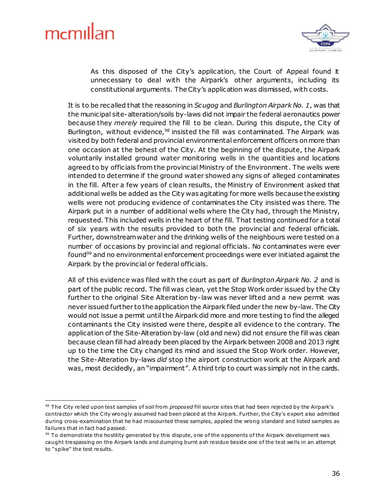1



As this disposed of the City's application, the Court of Appeal found it unnecessary to deal with the Airpark's other arguments, including its constitutional arguments. The City's application was dismissed, with costs.

It is to be recalled that the reasoning in *Scugog* and *Burlington Airpark No. 1*, was that the municipal site-alteration/soils by-laws did not impair the federal aeronautics power because they *merely* required the fill to be clean. During this dispute, the City of Burlington, without evidence,<sup>98</sup> insisted the fill was contaminated. The Airpark was visited by both federal and provincial environmental enforcement officers on more than one occasion at the behest of the City. At the beginning of the dispute, the Airpark voluntarily installed ground water monitoring wells in the quantities and locations agreed to by officials from the provincial Ministry of the Environment. The wells were intended to determine if the ground water showed any signs of alleged contaminates in the fill. After a few years of clean results, the Ministry of Environment asked that additional wells be added as the City was agitating for more wells because the existing wells were not producing evidence of contaminates the City insisted was there. The Airpark put in a number of additional wells where the City had, through the Ministry, requested. This included wells in the heart of the fill. That testing continued for a total of six years with the results provided to both the provincial and federal officials. Further, downstream water and the drinking wells of the neighbours were tested on a number of occasions by provincial and regional officials. No contaminates were ever found<sup>99</sup> and no environmental enforcement proceedings were ever initiated against the Airpark by the provincial or federal officials.

All of this evidence was filed with the court as part of *Burlington Airpark No. 2* and is part of the public record. The fill was clean, yet the Stop Work order issued by the City further to the original Site Alteration by-law was never lifted and a new permit was never issued further to the application the Airpark filed under the new by-law. The City would not issue a permit until the Airpark did more and more testing to find the alleged contaminants the City insisted were there, despite all evidence to the contrary. The application of the Site-Alteration by-law (old and new) did not ensure the fill was clean because clean fill had already been placed by the Airpark between 2008 and 2013 right up to the time the City changed its mind and issued the Stop Work order. However, the Site-Alteration by-laws *did* stop the airport construction work at the Airpark and was, most decidedly, an "impairment". A third trip to court was simply not in the cards.

<sup>&</sup>lt;sup>98</sup> The City relied upon test samples of soil from *proposed* fill source sites that had been rejected by the Airpark's contractor which the City wrongly assumed had been placed at the Airpark. Further, the City's expert also admitted during cross-examination that he had miscounted these samples, applied the wrong standard and listed samples as failures that in fact had passed.

<sup>&</sup>lt;sup>99</sup> To demonstrate the hostility generated by this dispute, one of the opponents of the Airpark development was caught trespassing on the Airpark lands and dumping burnt ash residue beside one of the test wells in an attempt to "spike" the test results.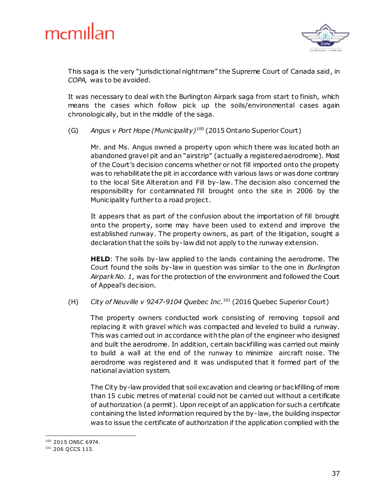



This saga is the very "jurisdictional nightmare" the Supreme Court of Canada said, in *COPA,* was to be avoided.

It was necessary to deal with the Burlington Airpark saga from start to finish, which means the cases which follow pick up the soils/environmental cases again chronologically, but in the middle of the saga.

(G) *Angus v Port Hope (Municipality)*<sup>100</sup> (2015 Ontario Superior Court)

Mr. and Ms. Angus owned a property upon which there was located both an abandoned gravel pit and an "airstrip" (actually a registered aerodrome). Most of the Court's decision concerns whether or not fill imported onto the property was to rehabilitate the pit in accordance with various laws or was done contrary to the local Site Alteration and Fill by-law. The decision also concerned the responsibility for contaminated fill brought onto the site in 2006 by the Municipality further to a road project.

It appears that as part of the confusion about the importation of fill brought onto the property, some may have been used to extend and improve the established runway. The property owners, as part of the litigation, sought a declaration that the soils by-law did not apply to the runway extension.

**HELD**: The soils by-law applied to the lands containing the aerodrome. The Court found the soils by-law in question was similar to the one in *Burlington Airpark No. 1*, was for the protection of the environment and followed the Court of Appeal's decision.

(H) *City of Neuville v 9247-9104 Quebec Inc .*<sup>101</sup> (2016 Quebec Superior Court)

The property owners conducted work consisting of removing topsoil and replacing it with gravel which was compacted and leveled to build a runway. This was carried out in accordance with the plan of the engineer who designed and built the aerodrome. In addition, certain backfilling was carried out mainly to build a wall at the end of the runway to minimize aircraft noise. The aerodrome was registered and it was undisputed that it formed part of the national aviation system.

The City by-law provided that soil excavation and clearing or backfilling of more than 15 cubic metres of material could not be carried out without a certificate of authorization (a permit). Upon receipt of an application for such a certificate containing the listed information required by the by-law, the building inspector was to issue the certificate of authorization if the application complied with the

<sup>1</sup> <sup>100</sup> 2015 ONSC 6974.

<sup>101</sup> 206 QCCS 113.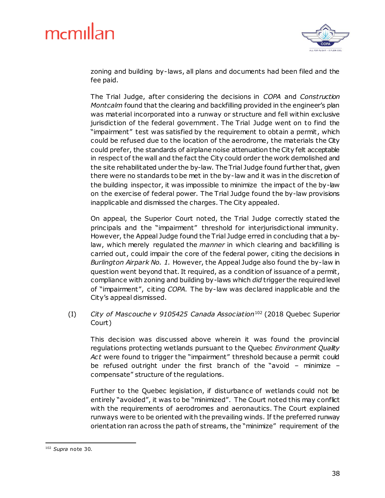

zoning and building by-laws, all plans and documents had been filed and the fee paid.

The Trial Judge, after considering the decisions in *COPA* and *Construction Montcalm* found that the clearing and backfilling provided in the engineer's plan was material incorporated into a runway or structure and fell within exclusive jurisdiction of the federal government. The Trial Judge went on to find the "impairment" test was satisfied by the requirement to obtain a permit, which could be refused due to the location of the aerodrome, the materials the City could prefer, the standards of airplane noise attenuation the City felt acceptable in respect of the wall and the fact the City could order the work demolished and the site rehabilitated under the by-law. The Trial Judge found further that, given there were no standards to be met in the by-law and it was in the discretion of the building inspector, it was impossible to minimize the impact of the by-law on the exercise of federal power. The Trial Judge found the by-law provisions inapplicable and dismissed the charges. The City appealed.

On appeal, the Superior Court noted, the Trial Judge correctly stated the principals and the "impairment" threshold for interjurisdictional immunity. However, the Appeal Judge found the Trial Judge erred in concluding that a bylaw, which merely regulated the *manner* in which clearing and backfilling is carried out, could impair the core of the federal power, citing the decisions in *Burlington Airpark No. 1.* However, the Appeal Judge also found the by-law in question went beyond that. It required, as a condition of issuance of a permit, compliance with zoning and building by-laws which *did* trigger the required level of "impairment", citing *COPA*. The by-law was declared inapplicable and the City's appeal dismissed.

(I) *City of Mascouche v 9105425 Canada Association*<sup>102</sup> (2018 Quebec Superior Court)

This decision was discussed above wherein it was found the provincial regulations protecting wetlands pursuant to the Quebec *Environment Quality Act* were found to trigger the "impairment" threshold because a permit could be refused outright under the first branch of the "avoid – minimize – compensate" structure of the regulations.

Further to the Quebec legislation, if disturbance of wetlands could not be entirely "avoided", it was to be "minimized". The Court noted this may conflict with the requirements of aerodromes and aeronautics. The Court explained runways were to be oriented with the prevailing winds. If the preferred runway orientation ran across the path of streams, the "minimize" requirement of the

<sup>1</sup> <sup>102</sup> *Supra* note 30.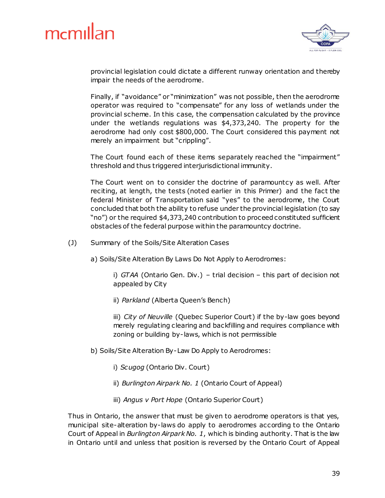

provincial legislation could dictate a different runway orientation and thereby impair the needs of the aerodrome.

Finally, if "avoidance" or "minimization" was not possible, then the aerodrome operator was required to "compensate" for any loss of wetlands under the provincial scheme. In this case, the compensation calculated by the province under the wetlands regulations was \$4,373,240. The property for the aerodrome had only cost \$800,000. The Court considered this payment not merely an impairment but "crippling".

The Court found each of these items separately reached the "impairment" threshold and thus triggered interjurisdictional immunity.

The Court went on to consider the doctrine of paramountcy as well. After reciting, at length, the tests (noted earlier in this Primer) and the fact the federal Minister of Transportation said "yes" to the aerodrome, the Court concluded that both the ability to refuse under the provincial legislation (to say "no") or the required \$4,373,240 contribution to proceed constituted sufficient obstacles of the federal purpose within the paramountcy doctrine.

- (J) Summary of the Soils/Site Alteration Cases
	- a) Soils/Site Alteration By Laws Do Not Apply to Aerodromes:

i) *GTAA* (Ontario Gen. Div.) – trial decision – this part of decision not appealed by City

ii) *Parkland* (Alberta Queen's Bench)

iii) *City of Neuville* (Quebec Superior Court) if the by-law goes beyond merely regulating clearing and backfilling and requires compliance with zoning or building by-laws, which is not permissible

- b) Soils/Site Alteration By-Law Do Apply to Aerodromes:
	- i) *Scugog* (Ontario Div. Court)
	- ii) *Burlington Airpark No. 1* (Ontario Court of Appeal)
	- iii) *Angus v Port Hope* (Ontario Superior Court)

Thus in Ontario, the answer that must be given to aerodrome operators is that yes, municipal site-alteration by-laws do apply to aerodromes according to the Ontario Court of Appeal in *Burlington Airpark No. 1*, which is binding authority. That is the law in Ontario until and unless that position is reversed by the Ontario Court of Appeal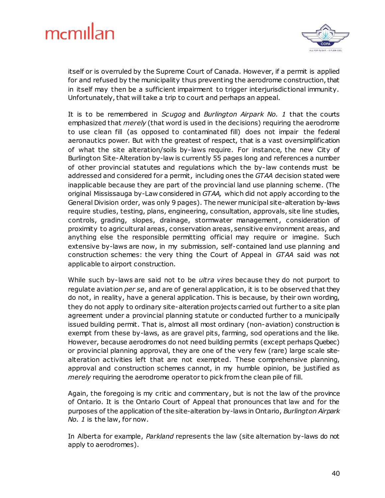

itself or is overruled by the Supreme Court of Canada. However, if a permit is applied for and refused by the municipality thus preventing the aerodrome construction, that in itself may then be a sufficient impairment to trigger interjurisdictional immunity. Unfortunately, that will take a trip to court and perhaps an appeal.

It is to be remembered in *Scugog* and *Burlington Airpark No. 1* that the courts emphasized that *merely* (that word is used in the decisions) requiring the aerodrome to use clean fill (as opposed to contaminated fill) does not impair the federal aeronautics power. But with the greatest of respect, that is a vast oversimplification of what the site alteration/soils by-laws require. For instance, the new City of Burlington Site-Alteration by-law is currently 55 pages long and references a number of other provincial statutes and regulations which the by-law contends must be addressed and considered for a permit, including ones the *GTAA* decision stated were inapplicable because they are part of the provincial land use planning scheme. (The original Mississauga by-Law considered in *GTAA,* which did not apply according to the General Division order, was only 9 pages). The newer municipal site-alteration by-laws require studies, testing, plans, engineering, consultation, approvals, site line studies, controls, grading, slopes, drainage, stormwater management, consideration of proximity to agricultural areas, conservation areas, sensitive environment areas, and anything else the responsible permitting official may require or imagine. Such extensive by-laws are now, in my submission, self-contained land use planning and construction schemes: the very thing the Court of Appeal in *GTAA* said was not applicable to airport construction.

While such by-laws are said not to be *ultra vires* because they do not purport to regulate aviation *per se*, and are of general application, it is to be observed that they do not, in reality, have a general application. This is because, by their own wording, they do not apply to ordinary site-alteration projects carried out further to a site plan agreement under a provincial planning statute or conducted further to a municipally issued building permit. That is, almost all most ordinary (non-aviation) construction is exempt from these by-laws, as are gravel pits, farming, sod operations and the like. However, because aerodromes do not need building permits (except perhaps Quebec) or provincial planning approval, they are one of the very few (rare) large scale sitealteration activities left that are not exempted. These comprehensive planning, approval and construction schemes cannot, in my humble opinion, be justified as *merely* requiring the aerodrome operator to pick from the clean pile of fill.

Again, the foregoing is my critic and commentary, but is not the law of the province of Ontario. It is the Ontario Court of Appeal that pronounces that law and for the purposes of the application of the site-alteration by-laws in Ontario, *Burlington Airpark No. 1* is the law, for now.

In Alberta for example, *Parkland* represents the law (site alternation by-laws do not apply to aerodromes).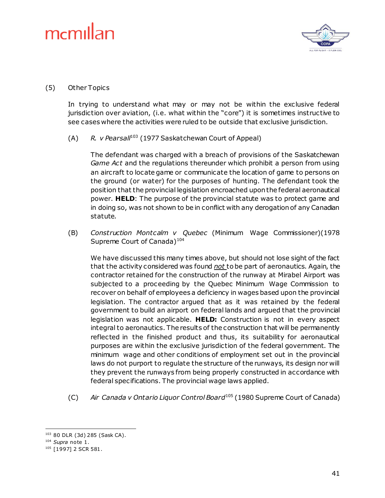

#### (5) Other Topics

In trying to understand what may or may not be within the exclusive federal jurisdiction over aviation, (i.e. what within the "core") it is sometimes instructive to see cases where the activities were ruled to be outside that exclusive jurisdiction.

(A) *R. v Pearsall*<sup>103</sup> (1977 Saskatchewan Court of Appeal)

The defendant was charged with a breach of provisions of the Saskatchewan *Game Act* and the regulations thereunder which prohibit a person from using an aircraft to locate game or communicate the location of game to persons on the ground (or water) for the purposes of hunting. The defendant took the position that the provincial legislation encroached upon the federal aeronautical power. **HELD**: The purpose of the provincial statute was to protect game and in doing so, was not shown to be in conflict with any derogation of any Canadian statute.

(B) *Construction Montcalm v Quebec* (Minimum Wage Commissioner)(1978 Supreme Court of Canada)<sup>104</sup>

We have discussed this many times above, but should not lose sight of the fact that the activity considered was found *not* to be part of aeronautics. Again, the contractor retained for the construction of the runway at Mirabel Airport was subjected to a proceeding by the Quebec Minimum Wage Commission to recover on behalf of employees a deficiency in wages based upon the provincial legislation. The contractor argued that as it was retained by the federal government to build an airport on federal lands and argued that the provincial legislation was not applicable. **HELD:** Construction is not in every aspect integral to aeronautics. The results of the construction that will be permanently reflected in the finished product and thus, its suitability for aeronautical purposes are within the exclusive jurisdiction of the federal government. The minimum wage and other conditions of employment set out in the provincial laws do not purport to regulate the structure of the runways, its design nor will they prevent the runways from being properly constructed in accordance with federal specifications. The provincial wage laws applied.

(C) *Air Canada v Ontario Liquor Control Board*<sup>105</sup> (1980 Supreme Court of Canada)

<sup>103</sup> 80 DLR (3d) 285 (Sask CA).

<sup>104</sup> *Supra* note 1.

<sup>105</sup> [1997] 2 SCR 581.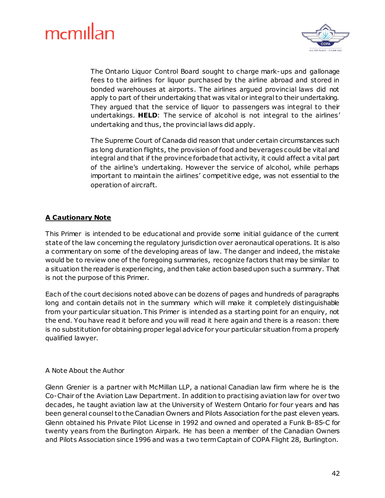

The Ontario Liquor Control Board sought to charge mark-ups and gallonage fees to the airlines for liquor purchased by the airline abroad and stored in bonded warehouses at airports. The airlines argued provincial laws did not apply to part of their undertaking that was vital or integral to their undertaking. They argued that the service of liquor to passengers was integral to their undertakings. **HELD**: The service of alcohol is not integral to the airlines' undertaking and thus, the provincial laws did apply.

The Supreme Court of Canada did reason that under certain circumstances such as long duration flights, the provision of food and beverages could be vital and integral and that if the province forbade that activity, it could affect a vital part of the airline's undertaking. However the service of alcohol, while perhaps important to maintain the airlines' competitive edge, was not essential to the operation of aircraft.

#### **A Cautionary Note**

This Primer is intended to be educational and provide some initial guidance of the current state of the law concerning the regulatory jurisdiction over aeronautical operations. It is also a commentary on some of the developing areas of law. The danger and indeed, the mistake would be to review one of the foregoing summaries, recognize factors that may be similar to a situation the reader is experiencing, and then take action based upon such a summary. That is not the purpose of this Primer.

Each of the court decisions noted above can be dozens of pages and hundreds of paragraphs long and contain details not in the summary which will make it completely distinguishable from your particular situation. This Primer is intended as a starting point for an enquiry, not the end. You have read it before and you will read it here again and there is a reason: there is no substitution for obtaining proper legal advice for your particular situation from a properly qualified lawyer.

#### A Note About the Author

Glenn Grenier is a partner with McMillan LLP, a national Canadian law firm where he is the Co-Chair of the Aviation Law Department. In addition to practising aviation law for over two decades, he taught aviation law at the University of Western Ontario for four years and has been general counsel to the Canadian Owners and Pilots Association for the past eleven years. Glenn obtained his Private Pilot License in 1992 and owned and operated a Funk B-85-C for twenty years from the Burlington Airpark. He has been a member of the Canadian Owners and Pilots Association since 1996 and was a two term Captain of COPA Flight 28, Burlington.